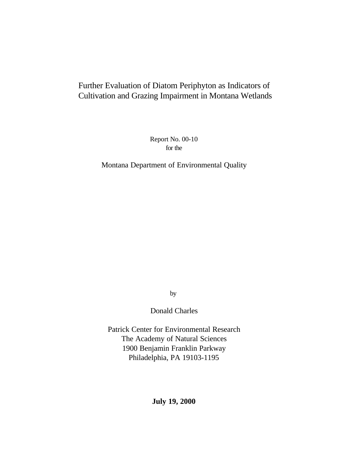# Further Evaluation of Diatom Periphyton as Indicators of Cultivation and Grazing Impairment in Montana Wetlands

Report No. 00-10 for the

Montana Department of Environmental Quality

by

Donald Charles

Patrick Center for Environmental Research The Academy of Natural Sciences 1900 Benjamin Franklin Parkway Philadelphia, PA 19103-1195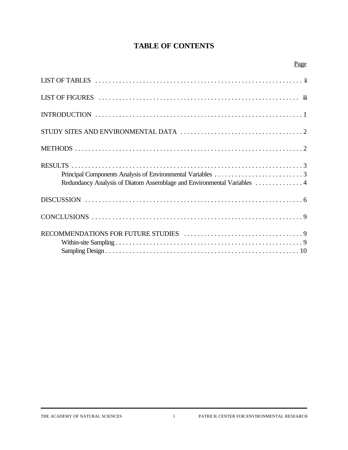# **TABLE OF CONTENTS**

|--|

| Redundancy Analysis of Diatom Assemblage and Environmental Variables  4 |
|-------------------------------------------------------------------------|
|                                                                         |
|                                                                         |
|                                                                         |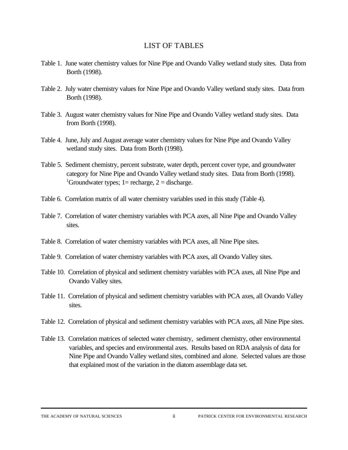#### LIST OF TABLES

- Table 1. June water chemistry values for Nine Pipe and Ovando Valley wetland study sites. Data from Borth (1998).
- Table 2. July water chemistry values for Nine Pipe and Ovando Valley wetland study sites. Data from Borth (1998).
- Table 3. August water chemistry values for Nine Pipe and Ovando Valley wetland study sites. Data from Borth (1998).
- Table 4. June, July and August average water chemistry values for Nine Pipe and Ovando Valley wetland study sites. Data from Borth (1998).
- Table 5. Sediment chemistry, percent substrate, water depth, percent cover type, and groundwater category for Nine Pipe and Ovando Valley wetland study sites. Data from Borth (1998). <sup>1</sup>Groundwater types; 1= recharge, 2 = discharge.
- Table 6. Correlation matrix of all water chemistry variables used in this study (Table 4).
- Table 7. Correlation of water chemistry variables with PCA axes, all Nine Pipe and Ovando Valley sites.
- Table 8. Correlation of water chemistry variables with PCA axes, all Nine Pipe sites.
- Table 9. Correlation of water chemistry variables with PCA axes, all Ovando Valley sites.
- Table 10. Correlation of physical and sediment chemistry variables with PCA axes, all Nine Pipe and Ovando Valley sites.
- Table 11. Correlation of physical and sediment chemistry variables with PCA axes, all Ovando Valley sites.
- Table 12. Correlation of physical and sediment chemistry variables with PCA axes, all Nine Pipe sites.
- Table 13. Correlation matrices of selected water chemistry, sediment chemistry, other environmental variables, and species and environmental axes. Results based on RDA analysis of data for Nine Pipe and Ovando Valley wetland sites, combined and alone. Selected values are those that explained most of the variation in the diatom assemblage data set.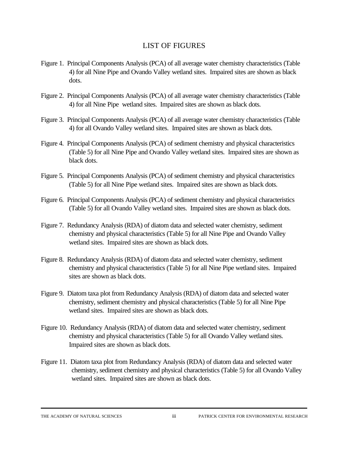#### LIST OF FIGURES

- Figure 1. Principal Components Analysis (PCA) of all average water chemistry characteristics (Table 4) for all Nine Pipe and Ovando Valley wetland sites. Impaired sites are shown as black dots.
- Figure 2. Principal Components Analysis (PCA) of all average water chemistry characteristics (Table 4) for all Nine Pipe wetland sites. Impaired sites are shown as black dots.
- Figure 3. Principal Components Analysis (PCA) of all average water chemistry characteristics (Table 4) for all Ovando Valley wetland sites. Impaired sites are shown as black dots.
- Figure 4. Principal Components Analysis (PCA) of sediment chemistry and physical characteristics (Table 5) for all Nine Pipe and Ovando Valley wetland sites. Impaired sites are shown as black dots.
- Figure 5. Principal Components Analysis (PCA) of sediment chemistry and physical characteristics (Table 5) for all Nine Pipe wetland sites. Impaired sites are shown as black dots.
- Figure 6. Principal Components Analysis (PCA) of sediment chemistry and physical characteristics (Table 5) for all Ovando Valley wetland sites. Impaired sites are shown as black dots.
- Figure 7. Redundancy Analysis (RDA) of diatom data and selected water chemistry, sediment chemistry and physical characteristics (Table 5) for all Nine Pipe and Ovando Valley wetland sites. Impaired sites are shown as black dots.
- Figure 8. Redundancy Analysis (RDA) of diatom data and selected water chemistry, sediment chemistry and physical characteristics (Table 5) for all Nine Pipe wetland sites. Impaired sites are shown as black dots.
- Figure 9. Diatom taxa plot from Redundancy Analysis (RDA) of diatom data and selected water chemistry, sediment chemistry and physical characteristics (Table 5) for all Nine Pipe wetland sites. Impaired sites are shown as black dots.
- Figure 10. Redundancy Analysis (RDA) of diatom data and selected water chemistry, sediment chemistry and physical characteristics (Table 5) for all Ovando Valley wetland sites. Impaired sites are shown as black dots.
- Figure 11. Diatom taxa plot from Redundancy Analysis (RDA) of diatom data and selected water chemistry, sediment chemistry and physical characteristics (Table 5) for all Ovando Valley wetland sites. Impaired sites are shown as black dots.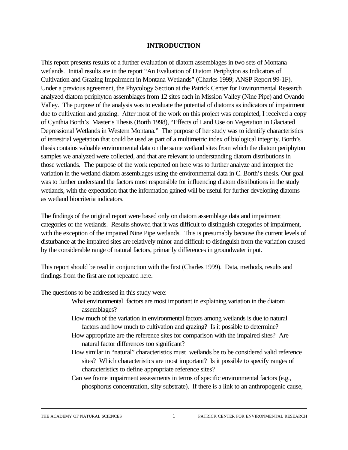#### **INTRODUCTION**

This report presents results of a further evaluation of diatom assemblages in two sets of Montana wetlands. Initial results are in the report "An Evaluation of Diatom Periphyton as Indicators of Cultivation and Grazing Impairment in Montana Wetlands" (Charles 1999; ANSP Report 99-1F). Under a previous agreement, the Phycology Section at the Patrick Center for Environmental Research analyzed diatom periphyton assemblages from 12 sites each in Mission Valley (Nine Pipe) and Ovando Valley. The purpose of the analysis was to evaluate the potential of diatoms as indicators of impairment due to cultivation and grazing. After most of the work on this project was completed, I received a copy of Cynthia Borth's Master's Thesis (Borth 1998), "Effects of Land Use on Vegetation in Glaciated Depressional Wetlands in Western Montana." The purpose of her study was to identify characteristics of terrestrial vegetation that could be used as part of a multimetric index of biological integrity. Borth's thesis contains valuable environmental data on the same wetland sites from which the diatom periphyton samples we analyzed were collected, and that are relevant to understanding diatom distributions in those wetlands. The purpose of the work reported on here was to further analyze and interpret the variation in the wetland diatom assemblages using the environmental data in C. Borth's thesis. Our goal was to further understand the factors most responsible for influencing diatom distributions in the study wetlands, with the expectation that the information gained will be useful for further developing diatoms as wetland biocriteria indicators.

The findings of the original report were based only on diatom assemblage data and impairment categories of the wetlands. Results showed that it was difficult to distinguish categories of impairment, with the exception of the impaired Nine Pipe wetlands. This is presumably because the current levels of disturbance at the impaired sites are relatively minor and difficult to distinguish from the variation caused by the considerable range of natural factors, primarily differences in groundwater input.

This report should be read in conjunction with the first (Charles 1999). Data, methods, results and findings from the first are not repeated here.

The questions to be addressed in this study were:

- What environmental factors are most important in explaining variation in the diatom assemblages?
- How much of the variation in environmental factors among wetlands is due to natural factors and how much to cultivation and grazing? Is it possible to determine?
- How appropriate are the reference sites for comparison with the impaired sites? Are natural factor differences too significant?
- How similar in "natural" characteristics must wetlands be to be considered valid reference sites? Which characteristics are most important? Is it possible to specify ranges of characteristics to define appropriate reference sites?
- Can we frame impairment assessments in terms of specific environmental factors (e.g., phosphorus concentration, silty substrate). If there is a link to an anthropogenic cause,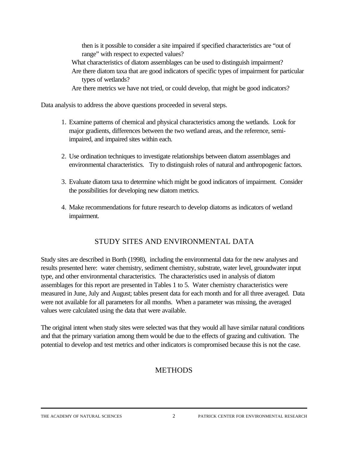then is it possible to consider a site impaired if specified characteristics are "out of range" with respect to expected values?

- What characteristics of diatom assemblages can be used to distinguish impairment? Are there diatom taxa that are good indicators of specific types of impairment for particular types of wetlands?
- Are there metrics we have not tried, or could develop, that might be good indicators?

Data analysis to address the above questions proceeded in several steps.

- 1. Examine patterns of chemical and physical characteristics among the wetlands. Look for major gradients, differences between the two wetland areas, and the reference, semiimpaired, and impaired sites within each.
- 2. Use ordination techniques to investigate relationships between diatom assemblages and environmental characteristics. Try to distinguish roles of natural and anthropogenic factors.
- 3. Evaluate diatom taxa to determine which might be good indicators of impairment. Consider the possibilities for developing new diatom metrics.
- 4. Make recommendations for future research to develop diatoms as indicators of wetland impairment.

# STUDY SITES AND ENVIRONMENTAL DATA

Study sites are described in Borth (1998), including the environmental data for the new analyses and results presented here: water chemistry, sediment chemistry, substrate, water level, groundwater input type, and other environmental characteristics. The characteristics used in analysis of diatom assemblages for this report are presented in Tables 1 to 5. Water chemistry characteristics were measured in June, July and August; tables present data for each month and for all three averaged. Data were not available for all parameters for all months. When a parameter was missing, the averaged values were calculated using the data that were available.

The original intent when study sites were selected was that they would all have similar natural conditions and that the primary variation among them would be due to the effects of grazing and cultivation. The potential to develop and test metrics and other indicators is compromised because this is not the case.

# **METHODS**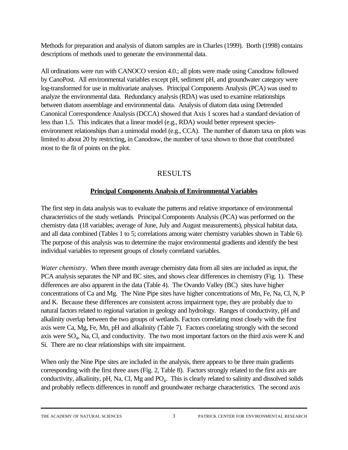Methods for preparation and analysis of diatom samples are in Charles (1999). Borth (1998) contains descriptions of methods used to generate the environmental data.

All ordinations were run with CANOCO version 4.0.; all plots were made using Canodraw followed by CanoPost. All environmental variables except pH, sediment pH, and groundwater category were log-transformed for use in multivariate analyses. Principal Components Analysis (PCA) was used to analyze the environmental data. Redundancy analysis (RDA) was used to examine relationships between diatom assemblage and environmental data. Analysis of diatom data using Detrended Canonical Correspondence Analysis (DCCA) showed that Axis 1 scores had a standard deviation of less than 1.5. This indicates that a linear model (e.g., RDA) would better represent speciesenvironment relationships than a unimodal model (e.g., CCA). The number of diatom taxa on plots was limited to about 20 by restricting, in Canodraw, the number of taxa shown to those that contributed most to the fit of points on the plot.

# RESULTS

### **Principal Components Analysis of Environmental Variables**

The first step in data analysis was to evaluate the patterns and relative importance of environmental characteristics of the study wetlands. Principal Components Analysis (PCA) was performed on the chemistry data (18 variables; average of June, July and August measurements), physical habitat data, and all data combined (Tables 1 to 5; correlations among water chemistry variables shown in Table 6). The purpose of this analysis was to determine the major environmental gradients and identify the best individual variables to represent groups of closely correlated variables.

*Water chemistry.* When three month average chemistry data from all sites are included as input, the PCA analysis separates the NP and BC sites, and shows clear differences in chemistry (Fig. 1). These differences are also apparent in the data (Table 4). The Ovando Valley (BC) sites have higher concentrations of Ca and Mg. The Nine Pipe sites have higher concentrations of Mn, Fe, Na, Cl, N, P and K. Because these differences are consistent across impairment type, they are probably due to natural factors related to regional variation in geology and hydrology. Ranges of conductivity, pH and alkalinity overlap between the two groups of wetlands. Factors correlating most closely with the first axis were Ca, Mg, Fe, Mn, pH and alkalinity (Table 7). Factors correlating strongly with the second axis were  $SO_4$ , Na, Cl, and conductivity. The two most important factors on the third axis were K and Si. There are no clear relationships with site impairment.

When only the Nine Pipe sites are included in the analysis, there appears to be three main gradients corresponding with the first three axes (Fig. 2, Table 8). Factors strongly related to the first axis are conductivity, alkalinity, pH, Na, Cl, Mg and PO<sub>4</sub>. This is clearly related to salinity and dissolved solids and probably reflects differences in runoff and groundwater recharge characteristics. The second axis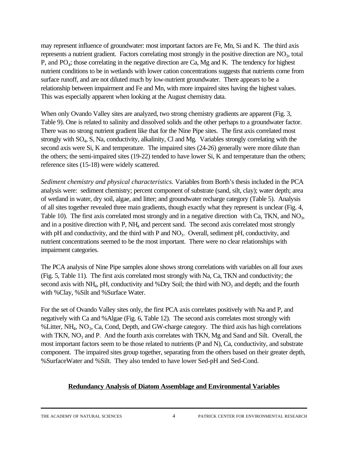may represent influence of groundwater: most important factors are Fe, Mn, Si and K. The third axis represents a nutrient gradient. Factors correlating most strongly in the positive direction are  $NO<sub>3</sub>$ , total P, and PO<sub>4</sub>; those correlating in the negative direction are Ca, Mg and K. The tendency for highest nutrient conditions to be in wetlands with lower cation concentrations suggests that nutrients come from surface runoff, and are not diluted much by low-nutrient groundwater. There appears to be a relationship between impairment and Fe and Mn, with more impaired sites having the highest values. This was especially apparent when looking at the August chemistry data.

When only Ovando Valley sites are analyzed, two strong chemistry gradients are apparent (Fig. 3, Table 9). One is related to salinity and dissolved solids and the other perhaps to a groundwater factor. There was no strong nutrient gradient like that for the Nine Pipe sites. The first axis correlated most strongly with SO<sub>4</sub>, S, Na, conductivity, alkalinity, Cl and Mg. Variables strongly correlating with the second axis were Si, K and temperature. The impaired sites (24-26) generally were more dilute than the others; the semi-impaired sites (19-22) tended to have lower Si, K and temperature than the others; reference sites (15-18) were widely scattered.

*Sediment chemistry and physical characteristics.* Variables from Borth's thesis included in the PCA analysis were: sediment chemistry; percent component of substrate (sand, silt, clay); water depth; area of wetland in water, dry soil, algae, and litter; and groundwater recharge category (Table 5). Analysis of all sites together revealed three main gradients, though exactly what they represent is unclear (Fig. 4, Table 10). The first axis correlated most strongly and in a negative direction with Ca, TKN, and  $NO<sub>3</sub>$ , and in a positive direction with P, NH<sub>4</sub> and percent sand. The second axis correlated most strongly with pH and conductivity, and the third with P and  $NO<sub>3</sub>$ . Overall, sediment pH, conductivity, and nutrient concentrations seemed to be the most important. There were no clear relationships with impairment categories.

The PCA analysis of Nine Pipe samples alone shows strong correlations with variables on all four axes (Fig. 5, Table 11). The first axis correlated most strongly with Na, Ca, TKN and conductivity; the second axis with NH<sub>4</sub>, pH, conductivity and %Dry Soil; the third with  $NO<sub>3</sub>$  and depth; and the fourth with %Clay, %Silt and %Surface Water.

For the set of Ovando Valley sites only, the first PCA axis correlates positively with Na and P, and negatively with Ca and %Algae (Fig. 6, Table 12). The second axis correlates most strongly with % Litter, NH<sub>4</sub>, NO<sub>3</sub>, Ca, Cond, Depth, and GW-charge category. The third axis has high correlations with TKN,  $NO<sub>3</sub>$  and P. And the fourth axis correlates with TKN, Mg and Sand and Silt. Overall, the most important factors seem to be those related to nutrients (P and N), Ca, conductivity, and substrate component. The impaired sites group together, separating from the others based on their greater depth, %SurfaceWater and %Silt. They also tended to have lower Sed-pH and Sed-Cond.

#### **Redundancy Analysis of Diatom Assemblage and Environmental Variables**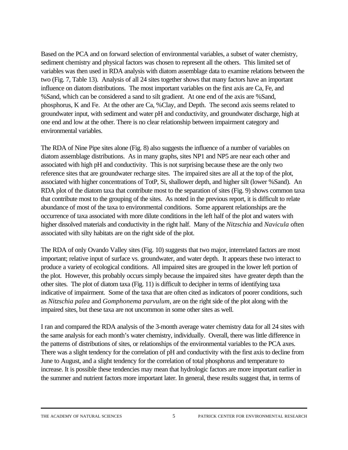Based on the PCA and on forward selection of environmental variables, a subset of water chemistry, sediment chemistry and physical factors was chosen to represent all the others. This limited set of variables was then used in RDA analysis with diatom assemblage data to examine relations between the two (Fig. 7, Table 13). Analysis of all 24 sites together shows that many factors have an important influence on diatom distributions. The most important variables on the first axis are Ca, Fe, and %Sand, which can be considered a sand to silt gradient. At one end of the axis are %Sand, phosphorus, K and Fe. At the other are Ca, %Clay, and Depth. The second axis seems related to groundwater input, with sediment and water pH and conductivity, and groundwater discharge, high at one end and low at the other. There is no clear relationship between impairment category and environmental variables.

The RDA of Nine Pipe sites alone (Fig. 8) also suggests the influence of a number of variables on diatom assemblage distributions. As in many graphs, sites NP1 and NP5 are near each other and associated with high pH and conductivity. This is not surprising because these are the only two reference sites that are groundwater recharge sites. The impaired sites are all at the top of the plot, associated with higher concentrations of TotP, Si, shallower depth, and higher silt (lower %Sand). An RDA plot of the diatom taxa that contribute most to the separation of sites (Fig. 9) shows common taxa that contribute most to the grouping of the sites. As noted in the previous report, it is difficult to relate abundance of most of the taxa to environmental conditions. Some apparent relationships are the occurrence of taxa associated with more dilute conditions in the left half of the plot and waters with higher dissolved materials and conductivity in the right half. Many of the *Nitzschia* and *Navicula* often associated with silty habitats are on the right side of the plot.

The RDA of only Ovando Valley sites (Fig. 10) suggests that two major, interrelated factors are most important; relative input of surface vs. groundwater, and water depth. It appears these two interact to produce a variety of ecological conditions. All impaired sites are grouped in the lower left portion of the plot. However, this probably occurs simply because the impaired sites have greater depth than the other sites. The plot of diatom taxa (Fig. 11) is difficult to decipher in terms of identifying taxa indicative of impairment. Some of the taxa that are often cited as indicators of poorer conditions, such as *Nitzschia palea* and *Gomphonema parvulum*, are on the right side of the plot along with the impaired sites, but these taxa are not uncommon in some other sites as well.

I ran and compared the RDA analysis of the 3-month average water chemistry data for all 24 sites with the same analysis for each month's water chemistry, individually. Overall, there was little difference in the patterns of distributions of sites, or relationships of the environmental variables to the PCA axes. There was a slight tendency for the correlation of pH and conductivity with the first axis to decline from June to August, and a slight tendency for the correlation of total phosphorus and temperature to increase. It is possible these tendencies may mean that hydrologic factors are more important earlier in the summer and nutrient factors more important later. In general, these results suggest that, in terms of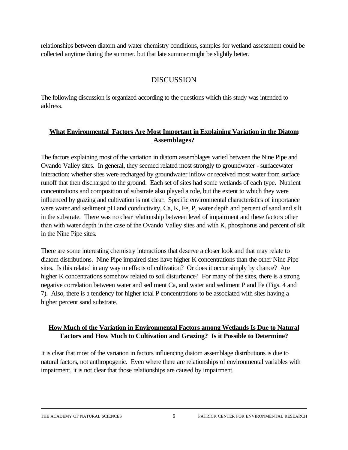relationships between diatom and water chemistry conditions, samples for wetland assessment could be collected anytime during the summer, but that late summer might be slightly better.

# DISCUSSION

The following discussion is organized according to the questions which this study was intended to address.

#### **What Environmental Factors Are Most Important in Explaining Variation in the Diatom Assemblages?**

The factors explaining most of the variation in diatom assemblages varied between the Nine Pipe and Ovando Valley sites. In general, they seemed related most strongly to groundwater - surfacewater interaction; whether sites were recharged by groundwater inflow or received most water from surface runoff that then discharged to the ground. Each set of sites had some wetlands of each type. Nutrient concentrations and composition of substrate also played a role, but the extent to which they were influenced by grazing and cultivation is not clear. Specific environmental characteristics of importance were water and sediment pH and conductivity, Ca, K, Fe, P, water depth and percent of sand and silt in the substrate. There was no clear relationship between level of impairment and these factors other than with water depth in the case of the Ovando Valley sites and with K, phosphorus and percent of silt in the Nine Pipe sites.

There are some interesting chemistry interactions that deserve a closer look and that may relate to diatom distributions. Nine Pipe impaired sites have higher K concentrations than the other Nine Pipe sites. Is this related in any way to effects of cultivation? Or does it occur simply by chance? Are higher K concentrations somehow related to soil disturbance? For many of the sites, there is a strong negative correlation between water and sediment Ca, and water and sediment P and Fe (Figs. 4 and 7). Also, there is a tendency for higher total P concentrations to be associated with sites having a higher percent sand substrate.

#### **How Much of the Variation in Environmental Factors among Wetlands Is Due to Natural Factors and How Much to Cultivation and Grazing? Is it Possible to Determine?**

It is clear that most of the variation in factors influencing diatom assemblage distributions is due to natural factors, not anthropogenic. Even where there are relationships of environmental variables with impairment, it is not clear that those relationships are caused by impairment.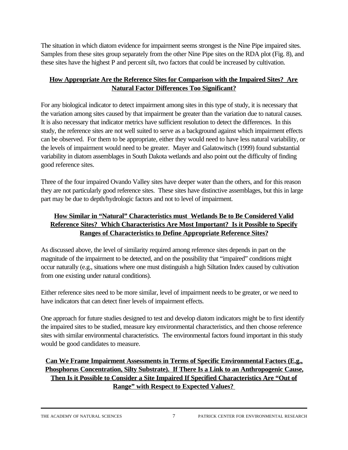The situation in which diatom evidence for impairment seems strongest is the Nine Pipe impaired sites. Samples from these sites group separately from the other Nine Pipe sites on the RDA plot (Fig. 8), and these sites have the highest P and percent silt, two factors that could be increased by cultivation.

### **How Appropriate Are the Reference Sites for Comparison with the Impaired Sites? Are Natural Factor Differences Too Significant?**

For any biological indicator to detect impairment among sites in this type of study, it is necessary that the variation among sites caused by that impairment be greater than the variation due to natural causes. It is also necessary that indicator metrics have sufficient resolution to detect the differences. In this study, the reference sites are not well suited to serve as a background against which impairment effects can be observed. For them to be appropriate, either they would need to have less natural variability, or the levels of impairment would need to be greater. Mayer and Galatowitsch (1999) found substantial variability in diatom assemblages in South Dakota wetlands and also point out the difficulty of finding good reference sites.

Three of the four impaired Ovando Valley sites have deeper water than the others, and for this reason they are not particularly good reference sites. These sites have distinctive assemblages, but this in large part may be due to depth/hydrologic factors and not to level of impairment.

### **How Similar in "Natural" Characteristics must Wetlands Be to Be Considered Valid Reference Sites? Which Characteristics Are Most Important? Is it Possible to Specify Ranges of Characteristics to Define Appropriate Reference Sites?**

As discussed above, the level of similarity required among reference sites depends in part on the magnitude of the impairment to be detected, and on the possibility that "impaired" conditions might occur naturally (e.g., situations where one must distinguish a high Siltation Index caused by cultivation from one existing under natural conditions).

Either reference sites need to be more similar, level of impairment needs to be greater, or we need to have indicators that can detect finer levels of impairment effects.

One approach for future studies designed to test and develop diatom indicators might be to first identify the impaired sites to be studied, measure key environmental characteristics, and then choose reference sites with similar environmental characteristics. The environmental factors found important in this study would be good candidates to measure.

## **Can We Frame Impairment Assessments in Terms of Specific Environmental Factors (E.g., Phosphorus Concentration, Silty Substrate). If There Is a Link to an Anthropogenic Cause, Then Is it Possible to Consider a Site Impaired If Specified Characteristics Are "Out of Range" with Respect to Expected Values?**

THE ACADEMY OF NATURAL SCIENCES 7 PATRICK CENTER FOR ENVIRONMENTAL RESEARCH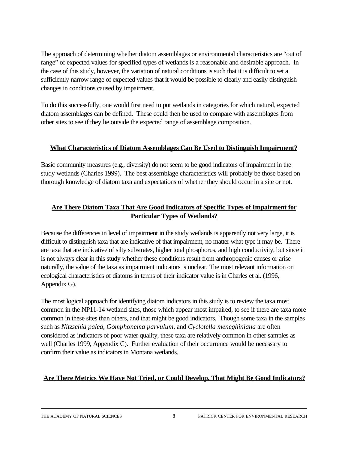The approach of determining whether diatom assemblages or environmental characteristics are "out of range" of expected values for specified types of wetlands is a reasonable and desirable approach. In the case of this study, however, the variation of natural conditions is such that it is difficult to set a sufficiently narrow range of expected values that it would be possible to clearly and easily distinguish changes in conditions caused by impairment.

To do this successfully, one would first need to put wetlands in categories for which natural, expected diatom assemblages can be defined. These could then be used to compare with assemblages from other sites to see if they lie outside the expected range of assemblage composition.

#### **What Characteristics of Diatom Assemblages Can Be Used to Distinguish Impairment?**

Basic community measures (e.g., diversity) do not seem to be good indicators of impairment in the study wetlands (Charles 1999). The best assemblage characteristics will probably be those based on thorough knowledge of diatom taxa and expectations of whether they should occur in a site or not.

#### **Are There Diatom Taxa That Are Good Indicators of Specific Types of Impairment for Particular Types of Wetlands?**

Because the differences in level of impairment in the study wetlands is apparently not very large, it is difficult to distinguish taxa that are indicative of that impairment, no matter what type it may be. There are taxa that are indicative of silty substrates, higher total phosphorus, and high conductivity, but since it is not always clear in this study whether these conditions result from anthropogenic causes or arise naturally, the value of the taxa as impairment indicators is unclear. The most relevant information on ecological characteristics of diatoms in terms of their indicator value is in Charles et al. (1996, Appendix G).

The most logical approach for identifying diatom indicators in this study is to review the taxa most common in the NP11-14 wetland sites, those which appear most impaired, to see if there are taxa more common in these sites than others, and that might be good indicators. Though some taxa in the samples such as *Nitzschia palea*, *Gomphonema parvulum*, and *Cyclotella meneghiniana* are often considered as indicators of poor water quality, these taxa are relatively common in other samples as well (Charles 1999, Appendix C). Further evaluation of their occurrence would be necessary to confirm their value as indicators in Montana wetlands.

#### **Are There Metrics We Have Not Tried, or Could Develop, That Might Be Good Indicators?**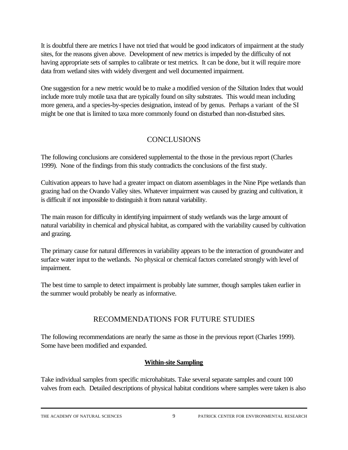It is doubtful there are metrics I have not tried that would be good indicators of impairment at the study sites, for the reasons given above. Development of new metrics is impeded by the difficulty of not having appropriate sets of samples to calibrate or test metrics. It can be done, but it will require more data from wetland sites with widely divergent and well documented impairment.

One suggestion for a new metric would be to make a modified version of the Siltation Index that would include more truly motile taxa that are typically found on silty substrates. This would mean including more genera, and a species-by-species designation, instead of by genus. Perhaps a variant of the SI might be one that is limited to taxa more commonly found on disturbed than non-disturbed sites.

# CONCLUSIONS

The following conclusions are considered supplemental to the those in the previous report (Charles 1999). None of the findings from this study contradicts the conclusions of the first study.

Cultivation appears to have had a greater impact on diatom assemblages in the Nine Pipe wetlands than grazing had on the Ovando Valley sites. Whatever impairment was caused by grazing and cultivation, it is difficult if not impossible to distinguish it from natural variability.

The main reason for difficulty in identifying impairment of study wetlands was the large amount of natural variability in chemical and physical habitat, as compared with the variability caused by cultivation and grazing.

The primary cause for natural differences in variability appears to be the interaction of groundwater and surface water input to the wetlands. No physical or chemical factors correlated strongly with level of impairment.

The best time to sample to detect impairment is probably late summer, though samples taken earlier in the summer would probably be nearly as informative.

# RECOMMENDATIONS FOR FUTURE STUDIES

The following recommendations are nearly the same as those in the previous report (Charles 1999). Some have been modified and expanded.

#### **Within-site Sampling**

Take individual samples from specific microhabitats. Take several separate samples and count 100 valves from each. Detailed descriptions of physical habitat conditions where samples were taken is also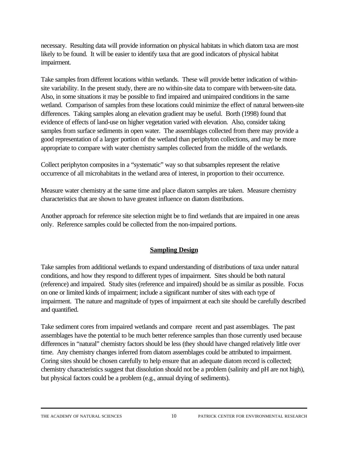necessary. Resulting data will provide information on physical habitats in which diatom taxa are most likely to be found. It will be easier to identify taxa that are good indicators of physical habitat impairment.

Take samples from different locations within wetlands. These will provide better indication of withinsite variability. In the present study, there are no within-site data to compare with between-site data. Also, in some situations it may be possible to find impaired and unimpaired conditions in the same wetland. Comparison of samples from these locations could minimize the effect of natural between-site differences. Taking samples along an elevation gradient may be useful. Borth (1998) found that evidence of effects of land-use on higher vegetation varied with elevation. Also, consider taking samples from surface sediments in open water. The assemblages collected from there may provide a good representation of a larger portion of the wetland than periphyton collections, and may be more appropriate to compare with water chemistry samples collected from the middle of the wetlands.

Collect periphyton composites in a "systematic" way so that subsamples represent the relative occurrence of all microhabitats in the wetland area of interest, in proportion to their occurrence.

Measure water chemistry at the same time and place diatom samples are taken. Measure chemistry characteristics that are shown to have greatest influence on diatom distributions.

Another approach for reference site selection might be to find wetlands that are impaired in one areas only. Reference samples could be collected from the non-impaired portions.

#### **Sampling Design**

Take samples from additional wetlands to expand understanding of distributions of taxa under natural conditions, and how they respond to different types of impairment. Sites should be both natural (reference) and impaired. Study sites (reference and impaired) should be as similar as possible. Focus on one or limited kinds of impairment; include a significant number of sites with each type of impairment. The nature and magnitude of types of impairment at each site should be carefully described and quantified.

Take sediment cores from impaired wetlands and compare recent and past assemblages. The past assemblages have the potential to be much better reference samples than those currently used because differences in "natural" chemistry factors should be less (they should have changed relatively little over time. Any chemistry changes inferred from diatom assemblages could be attributed to impairment. Coring sites should be chosen carefully to help ensure that an adequate diatom record is collected; chemistry characteristics suggest that dissolution should not be a problem (salinity and pH are not high), but physical factors could be a problem (e.g., annual drying of sediments).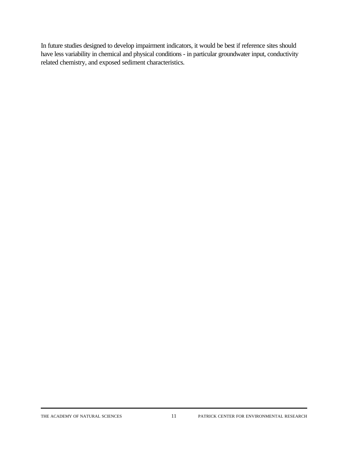In future studies designed to develop impairment indicators, it would be best if reference sites should have less variability in chemical and physical conditions - in particular groundwater input, conductivity related chemistry, and exposed sediment characteristics.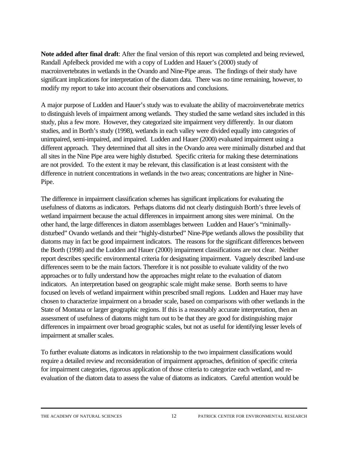**Note added after final draft**: After the final version of this report was completed and being reviewed, Randall Apfelbeck provided me with a copy of Ludden and Hauer's (2000) study of macroinvertebrates in wetlands in the Ovando and Nine-Pipe areas. The findings of their study have significant implications for interpretation of the diatom data. There was no time remaining, however, to modify my report to take into account their observations and conclusions.

A major purpose of Ludden and Hauer's study was to evaluate the ability of macroinvertebrate metrics to distinguish levels of impairment among wetlands. They studied the same wetland sites included in this study, plus a few more. However, they categorized site impairment very differently. In our diatom studies, and in Borth's study (1998), wetlands in each valley were divided equally into categories of unimpaired, semi-impaired, and impaired. Ludden and Hauer (2000) evaluated impairment using a different approach. They determined that all sites in the Ovando area were minimally disturbed and that all sites in the Nine Pipe area were highly disturbed. Specific criteria for making these determinations are not provided. To the extent it may be relevant, this classification is at least consistent with the difference in nutrient concentrations in wetlands in the two areas; concentrations are higher in Nine-Pipe.

The difference in impairment classification schemes has significant implications for evaluating the usefulness of diatoms as indicators. Perhaps diatoms did not clearly distinguish Borth's three levels of wetland impairment because the actual differences in impairment among sites were minimal. On the other hand, the large differences in diatom assemblages between Ludden and Hauer's "minimallydisturbed" Ovando wetlands and their "highly-disturbed" Nine-Pipe wetlands allows the possibility that diatoms may in fact be good impairment indicators. The reasons for the significant differences between the Borth (1998) and the Ludden and Hauer (2000) impairment classifications are not clear. Neither report describes specific environmental criteria for designating impairment. Vaguely described land-use differences seem to be the main factors. Therefore it is not possible to evaluate validity of the two approaches or to fully understand how the approaches might relate to the evaluation of diatom indicators. An interpretation based on geographic scale might make sense. Borth seems to have focused on levels of wetland impairment within prescribed small regions. Ludden and Hauer may have chosen to characterize impairment on a broader scale, based on comparisons with other wetlands in the State of Montana or larger geographic regions. If this is a reasonably accurate interpretation, then an assessment of usefulness of diatoms might turn out to be that they are good for distinguishing major differences in impairment over broad geographic scales, but not as useful for identifying lesser levels of impairment at smaller scales.

To further evaluate diatoms as indicators in relationship to the two impairment classifications would require a detailed review and reconsideration of impairment approaches, definition of specific criteria for impairment categories, rigorous application of those criteria to categorize each wetland, and reevaluation of the diatom data to assess the value of diatoms as indicators. Careful attention would be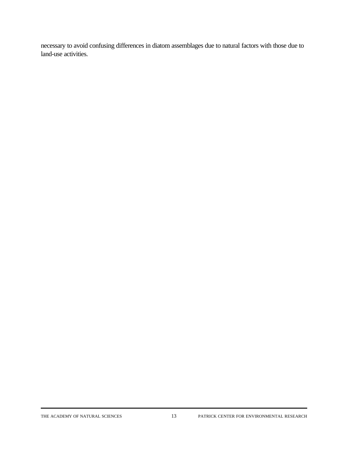necessary to avoid confusing differences in diatom assemblages due to natural factors with those due to land-use activities.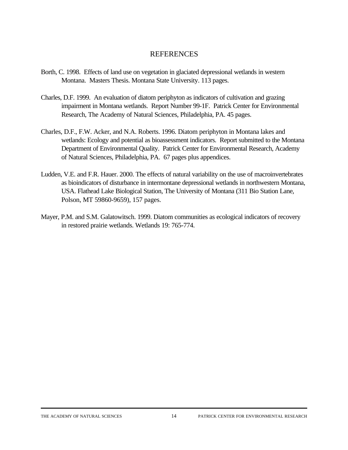#### REFERENCES

- Borth, C. 1998. Effects of land use on vegetation in glaciated depressional wetlands in western Montana. Masters Thesis. Montana State University. 113 pages.
- Charles, D.F. 1999. An evaluation of diatom periphyton as indicators of cultivation and grazing impairment in Montana wetlands. Report Number 99-1F. Patrick Center for Environmental Research, The Academy of Natural Sciences, Philadelphia, PA. 45 pages.
- Charles, D.F., F.W. Acker, and N.A. Roberts. 1996. Diatom periphyton in Montana lakes and wetlands: Ecology and potential as bioassessment indicators. Report submitted to the Montana Department of Environmental Quality. Patrick Center for Environmental Research, Academy of Natural Sciences, Philadelphia, PA. 67 pages plus appendices.
- Ludden, V.E. and F.R. Hauer. 2000. The effects of natural variability on the use of macroinvertebrates as bioindicators of disturbance in intermontane depressional wetlands in northwestern Montana, USA. Flathead Lake Biological Station, The University of Montana (311 Bio Station Lane, Polson, MT 59860-9659), 157 pages.
- Mayer, P.M. and S.M. Galatowitsch. 1999. Diatom communities as ecological indicators of recovery in restored prairie wetlands. Wetlands 19: 765-774.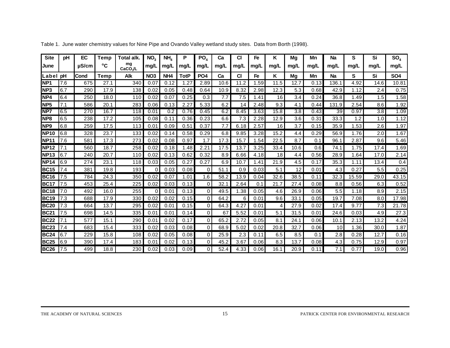| <b>Site</b>     | рH  | EC         | Temp | Total alk.    | NO <sub>3</sub> | NH <sub>4</sub> | Р           | PO <sub>4</sub> | Ca   | <b>CI</b> | Fe   | Κ    | Mg   | Mn   | <b>Na</b> | S     | Si   | SO <sub>4</sub> |
|-----------------|-----|------------|------|---------------|-----------------|-----------------|-------------|-----------------|------|-----------|------|------|------|------|-----------|-------|------|-----------------|
| June            |     | $\mu$ S/cm | °C   | mg<br>CaCO./L | mq/L            | mg/L            | mg/L        | mg/L            | mg/L | mg/L      | mg/L | mg/L | mq/L | mq/L | mq/L      | mq/L  | mg/L | mg/L            |
| Label pH        |     | Cond       | Temp | <b>Alk</b>    | <b>NO3</b>      | NH <sub>4</sub> | <b>TotP</b> | PO <sub>4</sub> | Ca   | <b>CI</b> | Fe   | Κ    | Mg   | Mn   | <b>Na</b> | S     | Si   | <b>SO4</b>      |
| NP <sub>1</sub> | 7.6 | 675        | 27.1 | 340           | 0.07            | 0.12            | 1.27        | 2.89            | 10.6 | 11.2      | 1.59 | 11.5 | 12.7 | 0.13 | 136.1     | 4.92  | 14.6 | 10.81           |
| NP <sub>3</sub> | 6.7 | 290        | 17.9 | 138           | 0.02            | 0.05            | 0.48        | 0.64            | 10.9 | 8.32      | 2.98 | 12.3 | 5.3  | 0.68 | 42.9      | 1.12  | 2.4  | 0.75            |
| NP4             | 6.4 | 250        | 18.0 | 110           | 0.02            | 0.07            | 0.25        | 0.3             | 7.7  | 7.5       | 1.41 | 16   | 3.4  | 0.24 | 36.8      | 1.49  | 1.5  | 1.58            |
| NP <sub>5</sub> | 7.1 | 586        | 20.1 | 283           | 0.06            | 0.13            | 2.27        | 5.33            | 6.2  | 14        | 2.48 | 9.3  | 4.1  | 0.44 | 131.9     | 2.54  | 8.6  | 1.92            |
| NP7             | 6.5 | 270        | 16.7 | 118           | 0.01            | 0.2             | 0.76        | 0.45            | 6.2  | 8.45      | 3.63 | 15.8 | 3.8  | 0.43 | 39        | 0.97  | 3.8  | 1.09            |
| NP <sub>8</sub> | 6.5 | 238        | 17.2 | 105           | 0.08            | 0.11            | 0.36        | 0.23            | 6.6  | 7.3       | 2.28 | 12.9 | 3.6  | 0.31 | 33.3      | 1.2   | 1.0  | 1.12            |
| NP <sub>9</sub> | 6.8 | 259        | 17.5 | 113           | 0.01            | 0.09            | 0.51        | 0.37            | 7.7  | 6.18      | 2.57 | 16   | 3.7  | 0.15 | 35.9      | 1.53  | 2.6  | 1.97            |
| <b>NP10</b>     | 6.8 | 328        | 23.7 | 133           | 0.02            | 0.14            | 0.58        | 0.29            | 6.8  | 9.85      | 3.28 | 15.2 | 4.4  | 0.29 | 56.9      | 1.76  | 2.0  | 1.67            |
| <b>NP11</b>     | 7.6 | 581        | 17.3 | 273           | 0.02            | 0.08            | 0.97        | 1.7             | 17.3 | 15.7      | 1.54 | 22.5 | 8.7  | 0.1  | 96.1      | 2.87  | 9.6  | 5.46            |
| <b>NP12</b>     | 7.1 | 560        | 18.7 | 258           | 0.02            | 0.18            | 1.48        | 2.21            | 17.5 | 13.7      | 3.25 | 33.4 | 10.6 | 0.6  | 74.1      | 1.75  | 17.4 | 1.69            |
| <b>NP13</b>     | 6.7 | 240        | 20.7 | 110           | 0.02            | 0.13            | 0.62        | 0.32            | 8.9  | 6.66      | 4.18 | 18   | 4.4  | 0.56 | 28.9      | 1.64  | 17.0 | 2.14            |
| <b>NP14</b>     | 6.9 | 274        | 23.1 | 118           | 0.03            | 0.05            | 0.27        | 0.27            | 6.9  | 10.7      | 1.41 | 21.9 | 4.5  | 0.17 | 35.3      | 1.11  | 13.4 | 0.4             |
| <b>BC15</b>     | 7.4 | 381        | 19.8 | 193           | 0               | 0.03            | 0.08        | 0               | 51.1 | 0.9       | 0.03 | 5.1  | 12   | 0.01 | 4.3       | 0.27  | 5.5  | 0.25            |
| <b>BC16</b>     | 7.5 | 784        | 24.3 | 350           | 0.02            | 0.07            | 1.01        | 1.6             | 58.2 | 13.9      | 0.04 | 32.6 | 38.5 | 0.11 | 32.3      | 15.59 | 29.0 | 43.15           |
| <b>BC17</b>     | 7.5 | 453        | 25.4 | 225           | 0.02            | 0.03            | 0.13        | 0               | 32.1 | 2.64      | 0.1  | 21.7 | 27.4 | 0.08 | 8.8       | 0.56  | 6.3  | 0.52            |
| <b>BC18</b>     | 7.0 | 492        | 16.0 | 255           | $\Omega$        | 0.01            | 0.13        | $\Omega$        | 49.5 | 1.38      | 0.05 | 4.6  | 26.9 | 0.06 | 5.5       | 1.18  | 8.9  | 2.15            |
| <b>BC19</b>     | 7.3 | 688        | 17.9 | 330           | 0.02            | 0.02            | 0.15        | $\overline{0}$  | 64.2 | 6         | 0.01 | 9.6  | 33.1 | 0.05 | 19.7      | 7.08  | 8.0  | 17.98           |
| <b>BC20</b>     | 7.3 | 664        | 13.7 | 295           | 0.02            | 0.01            | 0.15        | $\overline{0}$  | 64.3 | 4.27      | 0.01 | 4    | 27.9 | 0.02 | 17.4      | 9.77  | 7.3  | 21.78           |
| <b>BC21</b>     | 7.5 | 698        | 14.5 | 335           | 0.01            | 0.01            | 0.14        | $\Omega$        | 67   | 5.52      | 0.01 | 5.1  | 31.5 | 0.01 | 24.6      | 0.03  | 4.9  | 27.3            |
| <b>BC22</b>     | 7.1 | 577        | 15.1 | 290           | 0.01            | 0.02            | 0.17        | $\overline{0}$  | 65.2 | 2.72      | 0.05 | 8.1  | 24.1 | 0.06 | 10.1      | 2.13  | 13.2 | 4.24            |
| <b>BC23</b>     | 7.4 | 683        | 15.4 | 333           | 0.02            | 0.03            | 0.08        | $\overline{0}$  | 68.9 | 5.02      | 0.02 | 20.8 | 32.7 | 0.06 | 10        | 1.36  | 30.0 | 1.87            |
| <b>BC24</b>     | 6.7 | 229        | 15.8 | 108           | 0.02            | 0.05            | 0.08        | $\overline{0}$  | 25.9 | 2.3       | 0.11 | 6.5  | 8.5  | 0.1  | 2.8       | 0.28  | 12.7 | 0.16            |
| <b>BC25</b>     | 6.9 | 390        | 17.4 | 183           | 0.01            | 0.02            | 0.13        | $\Omega$        | 45.2 | 3.67      | 0.06 | 8.3  | 13.7 | 0.08 | 4.3       | 0.75  | 12.9 | 0.97            |
| <b>BC26</b>     | 7.5 | 499        | 18.8 | 230           | 0.02            | 0.03            | 0.09        | $\Omega$        | 52.4 | 4.33      | 0.06 | 16.1 | 20.9 | 0.11 | 7.1       | 0.77  | 19.0 | 0.96            |

Table 1. June water chemistry values for Nine Pipe and Ovando Valley wetland study sites. Data from Borth (1998).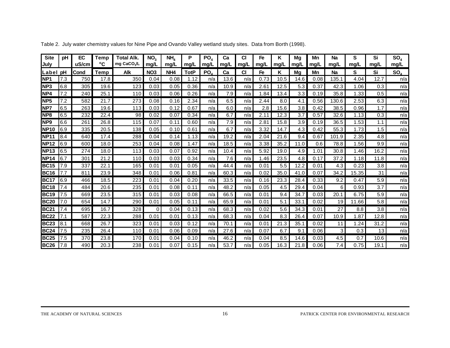| <b>Site</b><br>July | pH  | EC<br>uS/cm | Temp<br>°C  | Total Alk.<br>mg CaCO <sub>3</sub> /L | NO <sub>3</sub><br>mg/L | NH <sub>4</sub><br>mg/L | P<br>mg/L   | PO <sub>4</sub><br>mg/L | Ca<br>mg/L | СI<br>mg/L | Fe<br>mg/L | Κ<br>mg/L | Mg<br>mg/L | Mn<br>mg/L | Na<br>mg/L | S<br>mg/L | Si<br>mg/L | SO <sub>4</sub><br>mg/L |
|---------------------|-----|-------------|-------------|---------------------------------------|-------------------------|-------------------------|-------------|-------------------------|------------|------------|------------|-----------|------------|------------|------------|-----------|------------|-------------------------|
| Label               | рH  | lCond       | <b>Temp</b> | Alk                                   | NO <sub>3</sub>         | NH <sub>4</sub>         | <b>TotP</b> | PO                      | Ca         | <b>CI</b>  | Fe         | Κ         | Mq         | Mn         | <b>Na</b>  | s         | Si         | SO <sub>4</sub>         |
| NP <sub>1</sub>     | 7.3 | 750         | 17.8        | 350                                   | 0.04                    | 0.08                    | 1.12        | n/a                     | 13.6       | n/a        | 0.73       | 10.5      | 14.6       | 0.08       | 135.1      | 4.04      | 12.7       | n/a                     |
| <b>NP3</b>          | 6.8 | 305         | 19.6        | 123                                   | 0.03                    | 0.05                    | 0.36        | n/a                     | 10.9       | n/a        | 2.61       | 12.5      | 5.3        | 0.37       | 42.3       | 1.06      | 0.3        | n/a                     |
| NP4                 | 7.2 | 240         | 25.1        | 110                                   | 0.03                    | 0.06                    | 0.26        | n/a                     | 7.9        | n/a        | 1.84       | 13.4      | 3.3        | 0.19       | 35.8       | 1.33      | 0.5        | n/a                     |
| NP <sub>5</sub>     | 7.2 | 582         | 21.7        | 273                                   | 0.08                    | 0.16                    | 2.34        | n/a                     | 6.5        | n/a        | 2.44       | 8.0       | 4.1        | 0.56       | 130.6      | 2.53      | 6.3        | n/a                     |
| <b>NP7</b>          | 6.5 | 263         | 19.6        | 113                                   | 0.03                    | 0.12                    | 0.67        | n/a                     | 6.0        | n/a        | 2.8        | 15.6      | 3.8        | 0.42       | 38.5       | 0.96      | 1.7        | n/a                     |
| <b>INP8</b>         | 6.5 | 232         | 22.4        | 98                                    | 0.02                    | 0.07                    | 0.34        | n/a                     | 6.7        | n/a        | 2.11       | 12.3      | 3.7        | 0.57       | 32.6       | 1.13      | 0.3        | n/a                     |
| NP <sub>9</sub>     | 6.6 | 261         | 26.8        | 115                                   | 0.07                    | 0.11                    | 0.60        | n/a                     | 7.9        | n/a        | 2.81       | 15.8      | 3.9        | 0.19       | 36.5       | 1.53      | 1.1        | n/a                     |
| <b>NP10</b>         | 6.9 | 335         | 20.5        | 138                                   | 0.05                    | 0.10                    | 0.61        | n/a                     | 6.7        | n/a        | 3.32       | 14.7      | 4.3        | 0.42       | 55.3       | 1.73      | 1.5        | n/a                     |
| <b>NP11</b>         | 8.4 | 640         | 17.4        | 288                                   | 0.04                    | 0.14                    | 1.13        | n/a                     | 19.2       | n/a        | 2.04       | 21.6      | 9.4        | 0.67       | 101.9      | 2.35      | 4.8        | n/a                     |
| <b>NP12</b>         | 6.9 | 600         | 18.0        | 253                                   | 0.04                    | 0.08                    | 1.47        | n/a                     | 18.5       | n/a        | 3.38       | 35.2      | 11.0       | 0.6        | 78.8       | 1.56      | 9.9        | n/a                     |
| <b>NP13</b>         | 6.5 | 274         | 18.0        | 113                                   | 0.03                    | 0.07                    | 0.92        | n/a                     | 10.4       | n/a        | 5.92       | 19.0      | 4.9        | 1.01       | 30.8       | 1.46      | 16.2       | n/a                     |
| <b>NP14</b>         | 6.7 | 301         | 21.2        | 110                                   | 0.03                    | 0.03                    | 0.34        | n/a                     | 7.6        | n/a        | .46        | 23.5      | 4.8        | 0.17       | 37.2       | 1.18      | 11.8       | n/a                     |
| <b>BC15</b>         | 7.9 | 337         | 22.1        | 165                                   | 0.01                    | 0.01                    | 0.05        | n/a                     | 44.4       | n/a        | 0.01       | 5.5       | 12.2       | 0.01       | 4.3        | 0.23      | 3.8        | n/a                     |
| <b>BC16</b>         | 7.7 | 811         | 23.9        | 348                                   | 0.01                    | 0.06                    | 0.81        | n/a                     | 60.3       | n/a        | 0.02       | 35.0      | 41.0       | 0.07       | 34.2       | 15.35     | 31         | n/a                     |
| <b>BC17</b>         | 6.9 | 466         | 18.5        | 223                                   | 0.01                    | 0.04                    | 0.20        | n/a                     | 33.5       | n/a        | 0.16       | 23.3      | 28.4       | 0.33       | 9.2        | 0.47      | 5.9        | n/a                     |
| <b>BC18</b>         | 7.4 | 484         | 20.6        | 235                                   | 0.01                    | 0.08                    | 0.11        | n/a                     | 48.2       | n/a        | 0.05       | 4.5       | 29.4       | 0.04       | 6          | 0.93      | 3.7        | n/a                     |
| <b>BC19</b>         | 7.5 | 669         | 23.5        | 315                                   | 0.01                    | 0.03                    | 0.08        | n/a                     | 66.5       | n/a        | 0.01       | 9.4       | 34.7       | 0.03       | 20.1       | 6.75      | 5.9        | n/a                     |
| <b>BC20</b>         | 7.0 | 654         | 14.7        | 290                                   | 0.01                    | 0.05                    | 0.11        | n/a                     | 65.9       | n/a        | 0.01       | 5.1       | 33.1       | 0.02       | 19         | 11.66     | 5.8        | n/a                     |
| <b>BC21</b>         | 7.4 | 695         | 16.7        | 328                                   | $\Omega$                | 0.04                    | 0.13        | n/a                     | 68.3       | n/a        | 0.02       | 5.6       | 34.3       | 0.01       | 27         | 8.8       | 3.8        | n/a                     |
| <b>BC22</b>         | 7.1 | 587         | 22.3        | 288                                   | 0.01                    | 0.01                    | 0.13        | n/a                     | 68.3       | n/a        | 0.04       | 8.3       | 26.4       | 0.07       | 10.9       | .87       | 12.8       | n/a                     |
| <b>BC23</b>         | 8.1 | 668         | 26.7        | 323                                   | 0.01                    | 0.03                    | 0.12        | n/a                     | 70.1       | n/a        | 0.01       | 21.3      | 35.1       | 0.02       | 11         | .24       | 31.2       | n/a                     |
| <b>BC24</b>         | 7.5 | 235         | 26.4        | 110                                   | 0.01                    | 0.06                    | 0.09        | n/a                     | 27.6       | n/a        | 0.07       | 6.7       | 9.1        | 0.06       | 3          | 0.3       | 13         | n/a                     |
| <b>BC25</b>         | 7.5 | 370         | 23.8        | 170                                   | 0.01                    | 0.04                    | 0.10        | n/a                     | 46.2       | n/a        | 0.04       | 8.5       | 14.6       | 0.03       | 4.5        | 0.7       | 10.6       | n/a                     |
| <b>BC26</b>         | 7.8 | 490         | 20.3        | 238                                   | 0.01                    | 0.07                    | 0.15        | n/a                     | 53.7       | n/a        | 0.05       | 16.3      | 21.8       | 0.06       | 7.4        | 0.75      | 19.1       | n/a                     |

Table 2. July water chemistry values for Nine Pipe and Ovando Valley wetland study sites. Data from Borth (1998).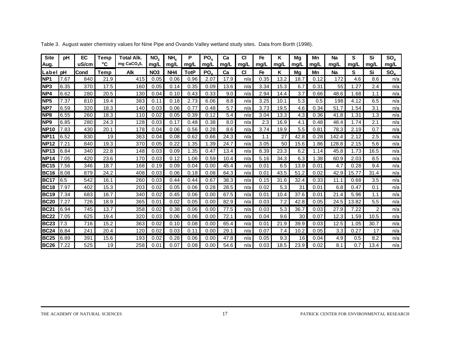| <b>Site</b><br>Aug. | рH   | EC<br>uS/cm | Temp<br>°C | <b>Total Alk.</b><br>mg CaCO <sub>3</sub> /L | NO <sub>3</sub><br>mq/L | NH <sub>a</sub><br>mg/L | P<br>mg/L   | PO <sub>4</sub><br>mg/L | Ca<br>mg/L | <b>CI</b><br>mg/L | Fe<br>mg/L | Κ<br>mg/L | Mq<br>mg/L | Mn<br>mg/L | Na<br>mq/L | S<br>mg/L | Si<br>mg/L     | SO <sub>4</sub><br>mg/L |
|---------------------|------|-------------|------------|----------------------------------------------|-------------------------|-------------------------|-------------|-------------------------|------------|-------------------|------------|-----------|------------|------------|------------|-----------|----------------|-------------------------|
| Label pH            |      | Cond        | Temp       | Alk                                          | NO <sub>3</sub>         | NH <sub>4</sub>         | <b>TotP</b> | PO.                     | Ca         | <b>CI</b>         | Fe         | κ         | Mq         | Mn         | Na         | S         | Si             | $SO_{A}$                |
| NP <sub>1</sub>     | 7.67 | 840         | 21.9       | 415                                          | 0.05                    | 0.06                    | 0.96        | 2.07                    | 17.9       | n/a               | 0.35       | 13.2      | 18.7       | 0.12       | 172        | 4.6       | 8.6            | n/a                     |
| <b>NP3</b>          | 6.35 | 370         | 17.5       | 160                                          | 0.05                    | 0.14                    | 0.35        | 0.09                    | 13.6       | n/a               | 3.34       | 15.3      | 6.7        | 0.31       | 55         | .27       | 2.4            | n/a                     |
| NP4                 | 6.62 | 280         | 20.5       | 130                                          | 0.04                    | 0.10                    | 0.43        | 0.33                    | 9.0        | n/a               | 2.94       | 14.4      | 3.7        | 0.66       | 48.6       | 1.68      | 1.1            | n/a                     |
| <b>NP5</b>          | 7.37 | 810         | 19.4       | 383                                          | 0.11                    | 0.18                    | 2.73        | 6.06                    | 8.8        | n/a               | 3.25       | 10.1      | 5.3        | 0.5        | 198        | 4.12      | 6.5            | n/a                     |
| NP7                 | 6.59 | 320         | 18.3       | 140                                          | 0.03                    | 0.06                    | 0.77        | 0.48                    | 5.7        | n/a               | 3.73       | 19.5      | 4.6        | 0.34       | 51.7       | 1.54      | 3.1            | n/a                     |
| <b>NP8</b>          | 6.55 | 260         | 18.3       | 110                                          | 0.02                    | 0.05                    | 0.39        | 0.12                    | 5.4        | n/a               | 3.04       | 13.3      | 4.3        | 0.36       | 41.8       | 1.31      | 1.3            | n/a                     |
| NP <sub>9</sub>     | 6.85 | 280         | 24.3       | 128                                          | 0.03                    | 0.17                    | 0.48        | 0.38                    | 8.0        | n/a               | 2.3        | 16.9      | 4.1        | 0.48       | 48.4       | 1.74      | 2.1            | n/a                     |
| <b>NP10</b>         | 7.83 | 430         | 20.1       | 178                                          | 0.04                    | 0.06                    | 0.56        | 0.28                    | 8.6        | n/a               | 3.74       | 19.9      | 5.5        | 0.81       | 78.3       | 2.19      | 0.7            | n/a                     |
| <b>NP11</b>         | 6.52 | 830         | 19         | 363                                          | 0.04                    | 0.08                    | 0.62        | 0.66                    | 24.3       | n/a               | 1.1        | 27        | 42.8       | 0.28       | 142.4      | 2.12      | 2.5            | n/a                     |
| <b>NP12</b>         | 7.21 | 840         | 19.3       | 370                                          | 0.05                    | 0.22                    | 1.35        | 1.39                    | 24.7       | n/a               | 3.05       | 50        | 15.6       | 1.86       | 128.8      | 2.15      | 5.6            | n/a                     |
| <b>NP13</b>         | 6.84 | 340         | 22.8       | 148                                          | 0.03                    | 0.09                    | 1.35        | 0.47                    | 13.4       | n/a               | 8.39       | 23.3      | 6.2        | 1.14       | 45.8       | 1.73      | 16.5           | n/a                     |
| <b>NP14</b>         | 7.05 | 420         | 23.6       | 170                                          | 0.03                    | 0.12                    | 1.06        | 0.59                    | 10.4       | n/a               | 5.16       | 34.3      | 6.3        | 1.38       | 60.9       | 2.03      | 8.5            | n/a                     |
| <b>BC15</b>         | 7.56 | 346         | 18.7       | 168                                          | 0.19                    | 0.09                    | 0.04        | 0.00                    | 45.4       | n/a               | 0.01       | 6.5       | 13.9       | 0.01       | 4.7        | 0.28      | 9.4            | n/a                     |
| <b>BC16</b>         | 8.08 | 879         | 24.2       | 408                                          | 0.03                    | 0.06                    | 0.18        | 0.08                    | 64.3       | n/a               | 0.01       | 43.5      | 51.2       | 0.02       | 42.9       | 15.77     | 31.4           | n/a                     |
| <b>BC17</b>         | 6.5  | 542         | 16.1       | 260                                          | 0.03                    | 0.44                    | 0.44        | 0.67                    | 38.3       | n/a               | 0.15       | 31.6      | 32.4       | 0.33       | 11.1       | 0.68      | 3.5            | n/a                     |
| <b>BC18</b>         | 7.97 | 402         | 15.3       | 203                                          | 0.02                    | 0.05                    | 0.06        | 0.28                    | 28.5       | n/a               | 0.02       | 5.3       | 31         | 0.01       | 6.8        | 0.47      | 0.1            | n/a                     |
| <b>BC19</b>         | 7.34 | 683         | 16.7       | 340                                          | 0.02                    | 0.45                    | 0.06        | 0.00                    | 67.5       | n/a               | 0.01       | 10.4      | 37.6       | 0.01       | 21.4       | 5.96      | 1.1            | n/a                     |
| <b>BC20</b>         | 7.27 | 726         | 18.9       | 365                                          | 0.01                    | 0.02                    | 0.05        | 0.00                    | 82.9       | n/a               | 0.03       | 7.2       | 42.8       | 0.05       | 24.5       | 13.82     | 5.5            | n/a                     |
| <b>BC21</b>         | 6.94 | 745         | 13.7       | 358                                          | 0.02                    | 0.38                    | 0.06        | 0.00                    | 77.5       | n/a               | 0.03       | 5.3       | 36.7       | 0.03       | 27.9       | 7.22      | $\overline{2}$ | n/a                     |
| <b>BC22</b>         | 7.05 | 625         | 19.4       | 320                                          | 0.03                    | 0.06                    | 0.06        | 0.00                    | 72.1       | n/a               | 0.04       | 9.6       | 30         | 0.07       | 12.3       | .59       | 10.5           | n/a                     |
| <b>BC23</b>         | 7.3  | 716         | 15.2       | 363                                          | 0.02                    | 0.10                    | 0.08        | 0.00                    | 65.4       | n/a               | 0.01       | 21.9      | 39.9       | 0.03       | 12.5       | 1.05      | 30.7           | n/a                     |
| <b>BC24</b>         | 6.84 | 241         | 20.4       | 120                                          | 0.02                    | 0.03                    | 0.11        | 0.00                    | 29.1       | n/a               | 0.07       | 7.4       | 10.2       | 0.05       | 3.3        | 0.27      | 17             | n/a                     |
| <b>BC25</b>         | 6.89 | 391         | 15.6       | 193                                          | 0.02                    | 0.28                    | 0.06        | 0.00                    | 47.8       | n/a               | 0.05       | 9.3       | 16         | 0.04       | 4.9        | 0.5       | 8.2            | n/a                     |
| <b>BC26</b>         | 7.22 | 525         | 19         | 258                                          | 0.01                    | 0.07                    | 0.08        | 0.00                    | 54.6       | n/a               | 0.03       | 18.5      | 23.9       | 0.02       | 8.1        | 0.7       | 13.4           | n/a                     |

Table 3. August water chemistry values for Nine Pipe and Ovando Valley wetland study sites. Data from Borth (1998).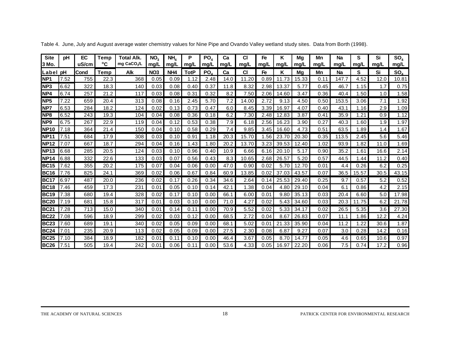| <b>Site</b><br>l3 Mo. | рH   | EC<br>uS/cm | Temp<br>°C | <b>Total Alk.</b><br>mg CaCO./L | NO <sub>3</sub><br>mg/L | NH <sub>a</sub><br>mq/L | P<br>mg/L   | PO <sub>4</sub><br>mg/L | Ca<br>mg/L | <b>CI</b><br>mg/L | Fe<br>mg/L    | ĸ<br>mg/L | Mg<br>mg/L | Mn<br>mq/L | <b>Na</b><br>mg/L | S<br>mg/L | Si<br>mq/L | SO <sub>4</sub><br>mg/L |
|-----------------------|------|-------------|------------|---------------------------------|-------------------------|-------------------------|-------------|-------------------------|------------|-------------------|---------------|-----------|------------|------------|-------------------|-----------|------------|-------------------------|
| Label pH              |      | Cond        | Temp       | Alk                             | NO <sub>3</sub>         | NH <sub>4</sub>         | <b>TotP</b> | PO.                     | Ca         | <b>CI</b>         | Fe            | Κ         | Ma         | Mn         | <b>Na</b>         | S         | Si         | $SO_{4}$                |
| NP <sub>1</sub>       | 7.52 | 755         | 22.3       | 368                             | 0.05                    | 0.09                    | 1.12        | 2.48                    | 14.0       | 11.20             | 0.89          | 11.73     | 15.33      | 0.11       | 147.7             | 4.52      | 12.0       | 10.81                   |
| <b>INP3</b>           | 6.62 | 322         | 18.3       | 140                             | 0.03                    | 0.08                    | 0.40        | 0.37                    | 11.8       | 8.32              | 2.98          | 13.37     | 5.77       | 0.45       | 46.7              | 1.15      | 1.7        | 0.75                    |
| NP4                   | 6.74 | 257         | 21.2       | 117                             | 0.03                    | 0.08                    | 0.31        | 0.32                    | 8.2        | 7.50              | 2.06          | 14.60     | 3.47       | 0.36       | 40.4              | 1.50      | 1.0        | 1.58                    |
| <b>NP5</b>            | 7.22 | 659         | 20.4       | 313                             | 0.08                    | 0.16                    | 2.45        | 5.70                    | 7.2        | 14.00             | 2.72          | 9.13      | 4.50       | 0.50       | 153.5             | 3.06      | 7.1        | 1.92                    |
| NP7                   | 6.53 | 284         | 18.2       | 124                             | 0.02                    | 0.13                    | 0.73        | 0.47                    | 6.0        | 8.45              | 3.39          | 16.97     | 4.07       | 0.40       | 43.1              | 1.16      | 2.9        | 1.09                    |
| NP <sub>8</sub>       | 6.52 | 243         | 19.3       | 104                             | 0.04                    | 0.08                    | 0.36        | 0.18                    | 6.2        | 7.30              | 2.48          | 12.83     | 3.87       | 0.41       | 35.9              | .21       | 0.9        | 1.12                    |
| NP <sub>9</sub>       | 6.75 | 267         | 22.9       | 119                             | 0.04                    | 0.12                    | 0.53        | 0.38                    | 7.9        | 6.18              | 2.56          | 16.23     | 3.90       | 0.27       | 40.3              | .60       | 1.9        | 1.97                    |
| <b>NP10</b>           | 7.18 | 364         | 21.4       | 150                             | 0.04                    | 0.10                    | 0.58        | 0.29                    | 7.4        | 9.85              | 3.45          | 16.60     | 4.73       | 0.51       | 63.5              | .89       | 1.4        | 1.67                    |
| <b>NP11</b>           | 7.51 | 684         | 17.9       | 308                             | 0.03                    | 0.10                    | 0.91        | 1.18                    | 20.3       | 15.70             | 1.56          | 23.70     | 20.30      | 0.35       | 113.5             | 2.45      | 5.6        | 5.46                    |
| <b>NP12</b>           | 7.07 | 667         | 18.7       | 294                             | 0.04                    | 0.16                    | 1.43        | 1.80                    | 20.2       | 13.70             | 3.23          | 39.53     | 12.40      | 1.02       | 93.9              | 1.82      | 11.0       | 1.69                    |
| <b>NP13</b>           | 6.68 | 285         | 20.5       | 124                             | 0.03                    | 0.10                    | 0.96        | 0.40                    | 10.9       | 6.66              | 6.16          | 20.10     | 5.17       | 0.90       | 35.2              | .61       | 16.6       | 2.14                    |
| <b>NP14</b>           | 6.88 | 332         | 22.6       | 133                             | 0.03                    | 0.07                    | 0.56        | 0.43                    | 8.3        | 10.65             | 2.68          | 26.57     | 5.20       | 0.57       | 44.5              | .44       | 11.2       | 0.40                    |
| BC15                  | 7.62 | 355         | 20.2       | 175                             | 0.07                    | 0.04                    | 0.06        | 0.00                    | 47.0       | 0.90              | 0.02          | 5.70      | 12.70      | 0.01       | 4.4               | 0.26      | 6.2        | 0.25                    |
| <b>BC16</b>           | 7.76 | 825         | 24.1       | 369                             | 0.02                    | 0.06                    | 0.67        | 0.84                    | 60.9       | 13.85             | 0.02          | 37.03     | 43.57      | 0.07       | 36.5              | 15.57     | 30.5       | 43.15                   |
| IBC17                 | 6.97 | 487         | 20.0       | 236                             | 0.02                    | 0.17                    | 0.26        | 0.34                    | 34.6       | 2.64              | 0.14          | 25.53     | 29.40      | 0.25       | 9.7               | 0.57      | 5.2        | 0.52                    |
| <b>BC18</b>           | 7.46 | 459         | 17.3       | 231                             | 0.01                    | 0.05                    | 0.10        | 0.14                    | 42.1       | 1.38              | 0.04          | 4.80      | 29.10      | 0.04       | 6.1               | 0.86      | 4.2        | 2.15                    |
| <b>BC19</b>           | 7.38 | 680         | 19.4       | 328                             | 0.02                    | 0.17                    | 0.10        | 0.00                    | 66.1       | 6.00              | 0.01          | 9.80      | 35.13      | 0.03       | 20.4              | 6.60      | 5.0        | 17.98                   |
| <b>BC20</b>           | 7.19 | 681         | 15.8       | 317                             | 0.01                    | 0.03                    | 0.10        | 0.00                    | 71.0       | 4.27              | 0.02          | 5.43      | 34.60      | 0.03       | 20.3              | 11.75     | 6.2        | 21.78                   |
| <b>BC21</b>           | 7.28 | 713         | 15.0       | 340                             | 0.01                    | 0.14                    | 0.11        | 0.00                    | 70.9       | 5.52              | 0.02          | 5.33      | 34.17      | 0.02       | 26.5              | 5.35      | 3.6        | 27.30                   |
| <b>BC22</b>           | 7.08 | 596         | 18.9       | 299                             | 0.02                    | 0.03                    | 0.12        | 0.00                    | 68.5       | 2.72              | 0.04          | 8.67      | 26.83      | 0.07       | 11.1              | .86       | 12.2       | 4.24                    |
| <b>BC23</b>           | 7.60 | 689         | 19.1       | 340                             | 0.02                    | 0.05                    | 0.09        | 0.00                    | 68.1       | 5.02              | $0.0^{\circ}$ | 21.33     | 35.90      | 0.04       | 11.2              | .22       | 30.6       | 1.87                    |
| <b>BC24</b>           | 7.01 | 235         | 20.9       | 113                             | 0.02                    | 0.05                    | 0.09        | 0.00                    | 27.5       | 2.30              | 0.08          | 6.87      | 9.27       | 0.07       | 3.0               | 0.28      | 14.2       | 0.16                    |
| <b>BC25</b>           | 7.10 | 384         | 18.9       | 182                             | 0.01                    | 0.11                    | 0.10        | 0.00                    | 46.4       | 3.67              | 0.05          | 8.70      | 14.77      | 0.05       | 4.6               | 0.65      | 10.6       | 0.97                    |
| <b>BC26</b>           | 7.51 | 505         | 19.4       | 242                             | 0.01                    | 0.06                    | 0.11        | 0.00                    | 53.6       | 4.33              | 0.05          | 16.97     | 22.20      | 0.06       | 7.5               | 0.74      | 17.2       | 0.96                    |

Table 4. June, July and August average water chemistry values for Nine Pipe and Ovando Valley wetland study sites. Data from Borth (1998).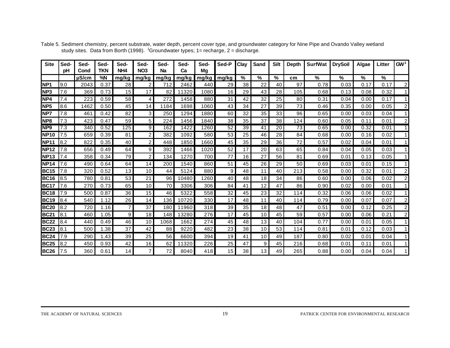| <b>Site</b>     | Sed-<br>рH | Sed-<br>Cond | Sed-<br><b>TKN</b> | Sed-<br>NH <sub>4</sub> | Sed-<br>NO <sub>3</sub> | Sed-<br><b>Na</b> | Sed-<br>Ca | Sed-<br>Mg | Sed-P | Clay | <b>Sand</b> | <b>Silt</b> | <b>Depth</b> | <b>SurfWat</b> | <b>DrySoil</b> | Algae | Litter | GW <sup>1</sup> |
|-----------------|------------|--------------|--------------------|-------------------------|-------------------------|-------------------|------------|------------|-------|------|-------------|-------------|--------------|----------------|----------------|-------|--------|-----------------|
|                 |            | $\mu$ S/cm   | %N                 | mg/kg                   | mg/kg                   | mg/kg             | mg/kg      | mg/kg      | mg/kg | %    | $\%$        | $\%$        | cm           | $\%$           | $\frac{0}{0}$  | %     | %      |                 |
| NP <sub>1</sub> | 9.0        | 2043         | 0.37               | 28                      | 2                       | 712               | 2462       | 440        | 29    | 38   | 22          | 40          | 97           | 0.78           | 0.03           | 0.17  | 0.17   | $\overline{c}$  |
| NP <sub>3</sub> | 7.6        | 369          | 0.73               | 15                      | 17                      | 82                | 11320      | 1080       | 16    | 29   | 43          | 28          | 105          | 0.68           | 0.13           | 0.08  | 0.32   |                 |
| NP4             | 7.4        | 223          | 0.59               | 58                      | $\overline{4}$          | 272               | 1458       | 880        | 31    | 42   | 32          | 25          | 80           | 0.31           | 0.04           | 0.00  | 0.17   |                 |
| NP <sub>5</sub> | 8.6        | 1462         | 0.50               | 45                      | 14                      | 1184              | 1698       | 1060       | 43    | 34   | 27          | 39          | 73           | 0.46           | 0.35           | 0.00  | 0.05   | 2               |
| NP7             | 7.8        | 461          | 0.42               | 82                      | $\mathbf{3}$            | 250               | 1294       | 1880       | 60    | 32   | 35          | 33          | 96           | 0.65           | 0.00           | 0.03  | 0.04   |                 |
| <b>NP8</b>      | 7.3        | 423          | 0.47               | 59                      | 5 <sup>5</sup>          | 224               | 1456       | 1840       | 38    | 35   | 37          | 38          | 124          | 0.60           | 0.05           | 0.11  | 0.01   | 2               |
| NP <sub>9</sub> | 7.3        | 340          | 0.52               | 125                     | 9                       | 162               | 1422       | 1260       | 52    | 39   | 41          | 20          | 73           | 0.65           | 0.00           | 0.32  | 0.01   |                 |
| <b>NP10</b>     | 7.5        | 659          | 0.39               | 81                      | $\overline{2}$          | 382               | 1092       | 580        | 53    | 25   | 46          | 28          | 84           | 0.68           | 0.00           | 0.16  | 0.02   |                 |
| <b>NP11</b>     | 8.2        | 822          | 0.35               | 40                      | $\overline{2}$          | 448               | 1850       | 1660       | 45    | 35   | 29          | 36          | 72           | 0.57           | 0.02           | 0.04  | 0.01   |                 |
| <b>NP12</b>     | 7.8        | 656          | 0.49               | 64                      | 9                       | 392               | 1466       | 1020       | 52    | 17   | 20          | 63          | 65           | 0.84           | 0.04           | 0.05  | 0.03   |                 |
| <b>INP13</b>    | 7.4        | 358          | 0.34               | 79                      | $\overline{2}$          | 134               | 1270       | 700        | 77    | 16   | 27          | 56          | 81           | 0.69           | 0.01           | 0.13  | 0.05   |                 |
| <b>NP14</b>     | 7.6        | 490          | 0.64               | 64                      | 14                      | 200               | 1540       | 860        | 51    | 45   | 26          | 29          | 50           | 0.69           | 0.03           | 0.01  | 0.15   |                 |
| <b>BC15</b>     | 7.8        | 320          | 0.52               | 13                      | 10                      | 44                | 5124       | 880        | 9     | 48   | 11          | 40          | 213          | 0.58           | 0.00           | 0.32  | 0.01   | $\overline{c}$  |
| <b>BC16</b>     | 8.5        | 780          | 0.81               | 53                      | 21                      | 96                | 10480      | 1260       | 40    | 48   | 18          | 34          | 86           | 0.60           | 0.00           | 0.06  | 0.02   | 2               |
| <b>BC17</b>     | 7.6        | 270          | 0.73               | 65                      | 10                      | 70                | 3306       | 306        | 84    | 41   | 12          | 47          | 86           | 0.90           | 0.02           | 0.00  | 0.01   |                 |
| <b>BC18</b>     | 7.9        | 500          | 0.87               | 36                      | 15                      | 46                | 5322       | 558        | 32    | 45   | 23          | 32          | 114          | 0.32           | 0.06           | 0.06  | 0.02   |                 |
| <b>BC19</b>     | 8.4        | 540          | 1.12               | 26                      | 14                      | 136               | 10720      | 330        | 17    | 48   | 11          | 40          | 114          | 0.79           | 0.00           | 0.07  | 0.07   | 2               |
| <b>BC20</b>     | 8.2        | 720          | 1.16               | 7                       | 37                      | 180               | 11960      | 318        | 39    | 35   | 18          | 48          | 47           | 0.51           | 0.00           | 0.12  | 0.25   | 2               |
| <b>BC21</b>     | 8.1        | 460          | 1.05               | 9                       | 18                      | 148               | 13280      | 276        | 17    | 45   | 10          | 45          | 59           | 0.57           | 0.00           | 0.06  | 0.21   | 2               |
| <b>BC22</b>     | 8.4        | 440          | 0.49               | 46                      | 10                      | 1068              | 1662       | 274        | 45    | 48   | 13          | 40          | 104          | 0.77           | 0.00           | 0.01  | 0.05   |                 |
| <b>BC23</b>     | 8.1        | 500          | .38                | 37                      | 42                      | 88                | 9220       | 482        | 23    | 38   | 10          | 53          | 114          | 0.81           | 0.01           | 0.12  | 0.03   |                 |
| <b>BC24</b>     | 7.9        | 290          | 1.43               | 39                      | 25                      | 56                | 6600       | 394        | 19    | 41   | 10          | 49          | 187          | 0.80           | 0.02           | 0.01  | 0.04   |                 |
| <b>BC25</b>     | 8.2        | 450          | 0.93               | 42                      | 16                      | 62                | 11320      | 226        | 25    | 47   | 9           | 45          | 216          | 0.68           | 0.01           | 0.11  | 0.01   |                 |
| <b>BC26</b>     | 7.5        | 360          | 0.61               | 14                      | $\overline{7}$          | 72                | 8040       | 418        | 15    | 38   | 13          | 49          | 265          | 0.88           | 0.00           | 0.04  | 0.04   |                 |

Table 5. Sediment chemistry, percent substrate, water depth, percent cover type, and groundwater category for Nine Pipe and Ovando Valley wetland study sites. Data from Borth (1998). <sup>1</sup>Groundwater types; 1= recharge, 2 = discharge.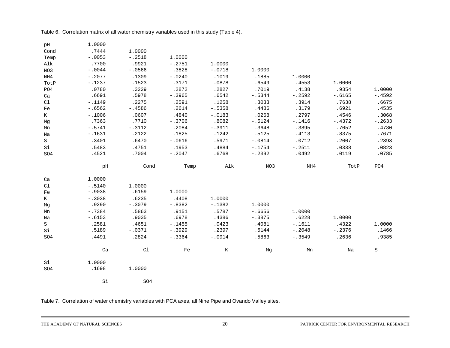Table 6. Correlation matrix of all water chemistry variables used in this study (Table 4).

| pH              | 1.0000   |          |          |          |          |          |          |          |
|-----------------|----------|----------|----------|----------|----------|----------|----------|----------|
| Cond            | .7444    | 1.0000   |          |          |          |          |          |          |
| Temp            | $-.0053$ | $-.2518$ | 1.0000   |          |          |          |          |          |
| Alk             | .7700    | .9921    | $-.2751$ | 1.0000   |          |          |          |          |
| NO3             | $-.0044$ | $-.0566$ | .3828    | $-.0718$ | 1.0000   |          |          |          |
| NH4             | $-.2077$ | .1309    | $-.0240$ | .1019    | .1885    | 1.0000   |          |          |
| TotP            | $-.1237$ | .1523    | .3171    | .0878    | .6549    | .4553    | 1.0000   |          |
| PO4             | .0780    | .3229    | .2872    | .2827    | .7019    | .4138    | .9354    | 1.0000   |
| Ca              | .6691    | .5978    | $-.3965$ | .6542    | $-15344$ | $-.2592$ | $-.6165$ | $-.4592$ |
| C1              | $-.1149$ | .2275    | .2591    | .1258    | .3033    | .3914    | .7638    | .6675    |
| Fe              | $-.6562$ | $-.4586$ | .2614    | $-.5358$ | .4486    | .3179    | .6921    | .4535    |
| K               | $-.1006$ | .0607    | .4840    | $-.0183$ | .0268    | .2797    | .4546    | .3068    |
| Mg              | .7363    | .7710    | $-.3706$ | .8082    | $-.5124$ | $-.1416$ | $-.4372$ | $-.2633$ |
| Mn              | $-.5741$ | $-.3112$ | .2084    | $-.3911$ | .3648    | .3895    | .7052    | .4730    |
| Na              | $-.1631$ | .2122    | .1825    | .1242    | .5125    | .4113    | .8375    | .7671    |
| S               | .3401    | .6470    | $-.0616$ | .5971    | $-.0814$ | .0712    | .2007    | .2393    |
| Si              | .5483    | .4751    | .1953    | .4884    | $-.1754$ | $-.2511$ | .0338    | .0823    |
| SO <sub>4</sub> | .4521    | .7004    | $-.2047$ | .6768    | $-.2392$ | .0492    | .0119    | .0785    |
|                 |          |          |          |          |          |          |          |          |
|                 |          |          |          |          |          |          |          |          |
|                 | pH       | Cond     | Temp     | Alk      | NO3      | NH4      | TotP     | PO4      |
| Ca              | 1.0000   |          |          |          |          |          |          |          |
| C1              | $-.5140$ | 1.0000   |          |          |          |          |          |          |
| Fe              | $-.9038$ | .6159    | 1.0000   |          |          |          |          |          |
| K               | $-.3038$ | .6235    | .4408    | 1.0000   |          |          |          |          |
| Mq              | .9290    | $-.3079$ | $-.8382$ | $-.1382$ | 1.0000   |          |          |          |
| Mn              | $-.7384$ | .5863    | .9151    | .5787    | $-.6656$ | 1.0000   |          |          |
| Na              | $-.6153$ | .9035    | .6978    | .4386    | $-.3875$ | .6228    | 1.0000   |          |
| S               | .2581    | .4651    | $-.1455$ | .0423    | .4081    | $-.1611$ | .4322    | 1.0000   |
| Si              | .5189    | $-.0371$ | $-.3929$ | .2397    | .5144    | $-.2048$ | $-.2376$ | .1466    |
| SO <sub>4</sub> | .4491    | .2824    | $-.3364$ | $-.0914$ | .5863    | $-.3549$ | .2636    | .9385    |
|                 | Ca       | C1       | Fe       | $\rm K$  | Mq       | Mn       | Na       | S        |
| Si              | 1.0000   |          |          |          |          |          |          |          |
| SO <sub>4</sub> | .1698    | 1.0000   |          |          |          |          |          |          |

Table 7. Correlation of water chemistry variables with PCA axes, all Nine Pipe and Ovando Valley sites.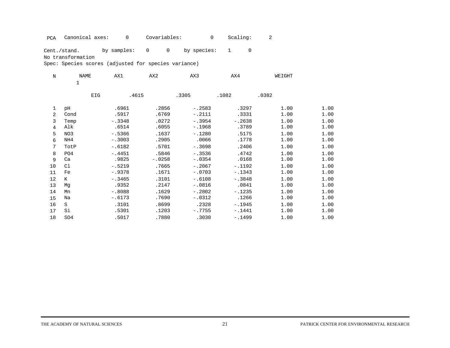PCA Canonical axes: 0 Covariables: 0 Scaling: 2

Cent./stand. by samples: 0 0 by species: 1 0

No transformation

| $\mathbf N$    | <b>NAME</b>     | AX1      | AX2      | AX3      | AX4      | WEIGHT |      |
|----------------|-----------------|----------|----------|----------|----------|--------|------|
|                | $\mathbf 1$     |          |          |          |          |        |      |
|                | EIG             | .4615    |          | .3305    | .1082    | .0382  |      |
| 1              | pH              | .6961    | .2856    | $-.2583$ | .3297    | 1.00   | 1.00 |
| $\overline{2}$ | Cond            | .5917    | .6769    | $-.2111$ | .3331    | 1.00   | 1.00 |
| 3              | Temp            | $-.3348$ | .0272    | $-.3954$ | $-.2638$ | 1.00   | 1.00 |
| 4              | Alk             | .6514    | .6055    | $-.1968$ | .3789    | 1.00   | 1.00 |
| 5              | NO3             | $-.5366$ | .1637    | $-.1280$ | .5175    | 1.00   | 1.00 |
| 6              | NH4             | $-.3003$ | .2905    | .0066    | .1778    | 1.00   | 1.00 |
| 7              | TotP            | $-.6182$ | .5701    | $-.3698$ | .2406    | 1.00   | 1.00 |
| 8              | PO <sub>4</sub> | $-.4451$ | .5846    | $-.3536$ | .4742    | 1.00   | 1.00 |
| 9              | Ca              | .9825    | $-.0258$ | $-.0354$ | .0168    | 1.00   | 1.00 |
| 10             | C1              | $-.5219$ | .7665    | $-.2067$ | $-.1192$ | 1.00   | 1.00 |
| 11             | Fe              | $-.9378$ | .1671    | $-.0703$ | $-.1343$ | 1.00   | 1.00 |
| 12             | K               | $-.3465$ | .3101    | $-.6108$ | $-.3848$ | 1.00   | 1.00 |
| 13             | Mq              | .9352    | .2147    | $-.0816$ | .0841    | 1.00   | 1.00 |
| 14             | Mn              | $-.8088$ | .1629    | $-.2802$ | $-.1235$ | 1.00   | 1.00 |
| 15             | Na              | $-.6173$ | .7690    | $-.0312$ | .1266    | 1.00   | 1.00 |
| 16             | S               | .3101    | .8699    | .2328    | $-.1945$ | 1.00   | 1.00 |
| 17             | Si              | .5301    | .1203    | $-.7755$ | $-.1441$ | 1.00   | 1.00 |
| 18             | SO <sub>4</sub> | .5017    | .7880    | .3030    | $-.1499$ | 1.00   | 1.00 |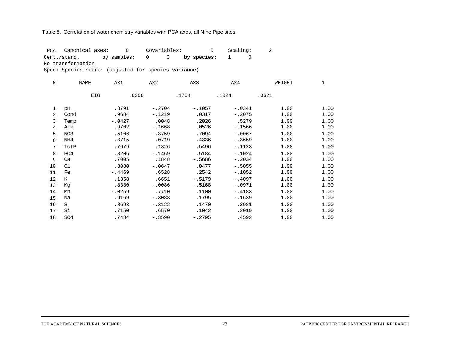#### Table 8. Correlation of water chemistry variables with PCA axes, all Nine Pipe sites.

 PCA Canonical axes: 0 Covariables: 0 Scaling: 2 Cent./stand. by samples: 0 0 by species: 1 0 No transformation

| N              | <b>NAME</b> | AX1      | AX <sub>2</sub> | AX3      | AX4      | WEIGHT | 1    |
|----------------|-------------|----------|-----------------|----------|----------|--------|------|
|                | EIG         | .6206    |                 | .1704    | .1024    | .0621  |      |
| 1              | pH          | .8791    | $-.2704$        | $-.1057$ | $-.0341$ | 1.00   | 1.00 |
| $\overline{a}$ | Cond        | .9684    | $-.1219$        | .0317    | $-.2075$ | 1.00   | 1.00 |
| 3              | Temp        | $-.0427$ | .0048           | .2026    | .5279    | 1.00   | 1.00 |
| $\overline{4}$ | Alk         | .9702    | $-.1668$        | .0526    | $-.1566$ | 1.00   | 1.00 |
| 5              | NO3         | .5106    | $-.3759$        | .7094    | $-.0067$ | 1.00   | 1.00 |
| 6              | NH4         | .3715    | .0719           | .4336    | $-.3659$ | 1.00   | 1.00 |
| 7              | TotP        | .7679    | .1326           | .5496    | $-.1123$ | 1.00   | 1.00 |
| 8              | PO4         | .8206    | $-.1469$        | .5184    | $-.1024$ | 1.00   | 1.00 |
| 9              | Ca          | .7005    | .1848           | $-.5686$ | $-.2034$ | 1.00   | 1.00 |
| 10             | C1          | .8080    | $-.0647$        | .0477    | $-15055$ | 1.00   | 1.00 |
| 11             | Fe          | $-.4469$ | .6528           | .2542    | $-.1052$ | 1.00   | 1.00 |
| 12             | K           | .1358    | .6651           | $-.5179$ | $-.4097$ | 1.00   | 1.00 |
| 13             | Mq          | .8380    | $-.0086$        | $-.5168$ | $-.0971$ | 1.00   | 1.00 |
| 14             | Mn          | $-.0259$ | .7710           | .1100    | $-.4183$ | 1.00   | 1.00 |
| 15             | Na          | .9169    | $-.3083$        | .1795    | $-.1639$ | 1.00   | 1.00 |
| 16             | S           | .8693    | $-.3122$        | .1470    | .2981    | 1.00   | 1.00 |
| 17             | Si          | .7150    | .6570           | .1042    | .2019    | 1.00   | 1.00 |
| 18             | SO4         | .7434    | $-.3590$        | $-.2795$ | .4592    | 1.00   | 1.00 |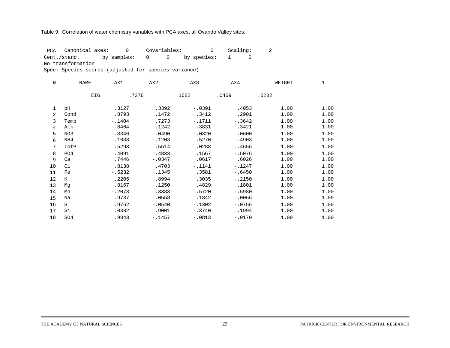#### Table 9. Correlation of water chemistry variables with PCA axes, all Ovando Valley sites.

 PCA Canonical axes: 0 Covariables: 0 Scaling: 2 Cent./stand. by samples: 0 0 by species: 1 0 No transformation

| $\mathbf N$     | <b>NAME</b>     | AX1      | AX <sub>2</sub> | AX3      | AX4      | WEIGHT | 1    |
|-----------------|-----------------|----------|-----------------|----------|----------|--------|------|
|                 | <b>EIG</b>      | .7276    |                 | .1682    | .0469    | .0282  |      |
| 1               | pH              | .3127    | .3392           | $-.0391$ | .4053    | 1.00   | 1.00 |
| 2               | Cond            | .8793    | .1472           | .3412    | .2901    | 1.00   | 1.00 |
| 3               | Temp            | $-.1404$ | .7273           | $-.1711$ | $-.3642$ | 1.00   | 1.00 |
| $\overline{4}$  | Alk             | .8464    | .1242           | .3831    | .3421    | 1.00   | 1.00 |
| 5               | NO3             | $-.3346$ | $-.0490$        | $-.0320$ | .0600    | 1.00   | 1.00 |
| 6               | NH4             | .1638    | $-.1203$        | .5270    | $-.4903$ | 1.00   | 1.00 |
| $7\overline{ }$ | TotP            | .5293    | .5514           | .0288    | $-.4656$ | 1.00   | 1.00 |
| 8               | PO4             | .4091    | .4833           | .1567    | $-.5076$ | 1.00   | 1.00 |
| 9               | Ca              | .7446    | $-.0347$        | .0617    | .6026    | 1.00   | 1.00 |
| 10              | C1              | .8138    | .4703           | $-1141$  | $-.1247$ | 1.00   | 1.00 |
| 11              | Fe              | $-.5232$ | .1345           | .3581    | $-.6450$ | 1.00   | 1.00 |
| 12              | K               | .2205    | .8994           | .3035    | $-.2150$ | 1.00   | 1.00 |
| 13              | Mq              | .8167    | .1250           | .4829    | .1801    | 1.00   | 1.00 |
| 14              | Mn              | $-.2078$ | .3383           | .5720    | $-.5980$ | 1.00   | 1.00 |
| 15              | Na              | .9737    | .0558           | .1842    | $-.0066$ | 1.00   | 1.00 |
| 16              | S               | .9762    | $-.0540$        | $-.1302$ | $-.0756$ | 1.00   | 1.00 |
| 17              | Si              | .0382    | .9001           | $-.3740$ | .1994    | 1.00   | 1.00 |
| 18              | SO <sub>4</sub> | .9843    | $-.1457$        | $-.0813$ | $-.0170$ | 1.00   | 1.00 |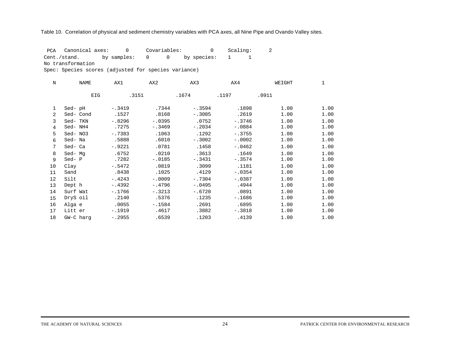#### Table 10. Correlation of physical and sediment chemistry variables with PCA axes, all Nine Pipe and Ovando Valley sites.

 PCA Canonical axes: 0 Covariables: 0 Scaling: 2 Cent./stand. by samples: 0 0 by species: 1 1

No transformation

| $\mathbf N$    | NAME       | AX1      | AX <sub>2</sub> | AX3      | AX4       | WEIGHT | 1    |
|----------------|------------|----------|-----------------|----------|-----------|--------|------|
|                | <b>EIG</b> | .3151    |                 | .1674    | .1197     | .0911  |      |
| 1              | Sed-pH     | $-.3419$ | .7344           | $-.3594$ | .1898     | 1.00   | 1.00 |
| $\overline{2}$ | Sed-Cond   | .1527    | .8168           | $-.3085$ | .2619     | 1.00   | 1.00 |
| 3              | Sed-TKN    | $-.8296$ | $-.0395$        | .0752    | $-.3746$  | 1.00   | 1.00 |
| $\overline{4}$ | Sed- NH4   | .7275    | $-.3469$        | $-.2034$ | $-.0884$  | 1.00   | 1.00 |
| 5              | Sed-NO3    | $-.7383$ | .1063           | .1292    | $-1.3755$ | 1.00   | 1.00 |
| 6              | Sed-Na     | .5888    | .6010           | $-.3002$ | $-.0002$  | 1.00   | 1.00 |
| 7              | Sed-Ca     | $-.9221$ | .0781           | .1458    | $-.0462$  | 1.00   | 1.00 |
| 8              | Sed-Mq     | .6752    | .0210           | .3613    | .1649     | 1.00   | 1.00 |
| 9              | Sed-P      | .7282    | $-.0185$        | $-.3431$ | $-.3574$  | 1.00   | 1.00 |
| 10             | Clay       | $-.5472$ | .0819           | .3099    | .1181     | 1.00   | 1.00 |
| 11             | Sand       | .8438    | .1025           | .4129    | $-.0354$  | 1.00   | 1.00 |
| 12             | Silt       | $-.4243$ | $-.0009$        | $-.7304$ | $-.0387$  | 1.00   | 1.00 |
| 13             | Dept h     | $-.4392$ | $-.4796$        | $-.0495$ | .4944     | 1.00   | 1.00 |
| 14             | Surf Wat   | $-.1766$ | $-.3213$        | $-.6720$ | .0891     | 1.00   | 1.00 |
| 15             | DryS oil   | .2140    | .5376           | .1235    | $-.1686$  | 1.00   | 1.00 |
| 16             | Alga e     | .0055    | $-.1584$        | .2691    | .6895     | 1.00   | 1.00 |
| 17             | Litt er    | $-.1919$ | .4617           | .3882    | $-.3818$  | 1.00   | 1.00 |
| 18             | GW-C harg  | $-.2955$ | .6539           | .1203    | .4139     | 1.00   | 1.00 |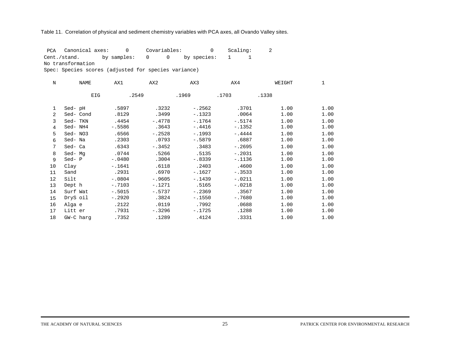#### Table 11. Correlation of physical and sediment chemistry variables with PCA axes, all Ovando Valley sites.

 PCA Canonical axes: 0 Covariables: 0 Scaling: 2 Cent./stand. by samples: 0 0 by species: 1 1 No transformation

| $\mathbf N$       | NAME       | AX1      | AX2      | AX3      | AX4      | WEIGHT | 1    |
|-------------------|------------|----------|----------|----------|----------|--------|------|
|                   | <b>EIG</b> | .2549    |          | .1969    | .1703    | .1338  |      |
| 1                 | Sed-pH     | .5897    | .3232    | $-.2562$ | .3701    | 1.00   | 1.00 |
| $\overline{2}$    | Sed-Cond   | .8129    | .3499    | $-.1323$ | .0064    | 1.00   | 1.00 |
| 3                 | Sed-TKN    | .4454    | $-.4778$ | $-.1764$ | $-.5174$ | 1.00   | 1.00 |
| 4                 | Sed-NH4    | $-.5586$ | .3643    | $-.4416$ | $-.1352$ | 1.00   | 1.00 |
| 5                 | Sed-NO3    | .6566    | $-.2528$ | $-.1993$ | $-.4444$ | 1.00   | 1.00 |
| 6                 | Sed-Na     | .2303    | .0793    | $-.5879$ | .6887    | 1.00   | 1.00 |
| 7                 | Sed- Ca    | .6343    | $-.3452$ | .3483    | $-.2695$ | 1.00   | 1.00 |
| 8                 | Sed-Mq     | .0744    | .5266    | .5135    | $-.2031$ | 1.00   | 1.00 |
| 9                 | Sed-P      | $-.0480$ | .3004    | $-.8339$ | $-.1136$ | 1.00   | 1.00 |
| 10                | Clay       | $-.1641$ | .6118    | .2403    | .4600    | 1.00   | 1.00 |
| 11                | Sand       | .2931    | .6970    | $-.1627$ | $-.3533$ | 1.00   | 1.00 |
| $12 \overline{ }$ | Silt       | $-.0804$ | $-.9605$ | $-.1439$ | $-.0211$ | 1.00   | 1.00 |
| 13                | Dept h     | $-.7103$ | $-.1271$ | .5165    | $-.0218$ | 1.00   | 1.00 |
| 14                | Surf Wat   | $-.5015$ | $-.5737$ | $-.2369$ | .3567    | 1.00   | 1.00 |
| 15                | DryS oil   | $-.2920$ | .3824    | $-.1550$ | $-.7680$ | 1.00   | 1.00 |
| 16                | Alga e     | .2122    | .0119    | .7992    | .0688    | 1.00   | 1.00 |
| 17                | Litt er    | .7931    | $-.3296$ | $-.1725$ | .1288    | 1.00   | 1.00 |
| 18                | GW-C harg  | .7352    | .1289    | .4124    | .3331    | 1.00   | 1.00 |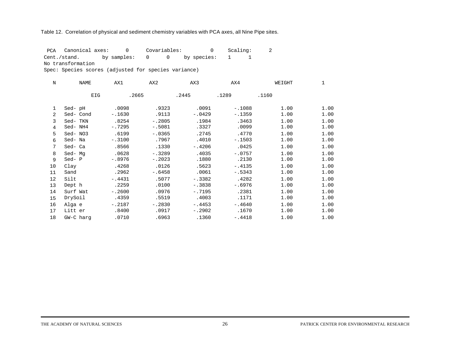#### Table 12. Correlation of physical and sediment chemistry variables with PCA axes, all Nine Pipe sites.

 PCA Canonical axes: 0 Covariables: 0 Scaling: 2 Cent./stand. by samples: 0 0 by species: 1 1 No transformation

| $\mathbf N$    | <b>NAME</b> | AX1      | AX <sub>2</sub> | AX3      | AX4      | WEIGHT | 1    |
|----------------|-------------|----------|-----------------|----------|----------|--------|------|
|                | EIG         | .2665    |                 | .2445    | .1289    | .1160  |      |
| 1              | Sed-pH      | .0098    | .9323           | .0091    | $-.1088$ | 1.00   | 1.00 |
| $\overline{2}$ | Sed-Cond    | $-.1630$ | .9113           | $-.0429$ | $-.1359$ | 1.00   | 1.00 |
| 3              | Sed-TKN     | .8254    | $-.2805$        | .1984    | .3463    | 1.00   | 1.00 |
| 4              | Sed- NH4    | $-.7295$ | $-.5081$        | .3327    | .0099    | 1.00   | 1.00 |
| 5              | Sed-NO3     | .6199    | $-.0365$        | .2745    | .4770    | 1.00   | 1.00 |
| 6              | Sed-Na      | $-.3100$ | .7967           | .4010    | $-.1503$ | 1.00   | 1.00 |
| 7              | Sed-Ca      | .8566    | .1330           | $-.4206$ | .0425    | 1.00   | 1.00 |
| 8              | Sed-Mq      | .0628    | $-.3289$        | .4035    | $-.0757$ | 1.00   | 1.00 |
| 9              | Sed-P       | $-.8976$ | $-.2023$        | .1880    | .2130    | 1.00   | 1.00 |
| 10             | Clay        | .4268    | .0126           | .5623    | $-.4135$ | 1.00   | 1.00 |
| 11             | Sand        | .2962    | $-.6458$        | .0061    | $-.5343$ | 1.00   | 1.00 |
| 12             | Silt        | $-.4431$ | .5077           | $-.3382$ | .4282    | 1.00   | 1.00 |
| 13             | Dept h      | .2259    | .0100           | $-.3838$ | $-.6976$ | 1.00   | 1.00 |
| 14             | Surf Wat    | $-.2600$ | .0976           | $-.7195$ | .2381    | 1.00   | 1.00 |
| 15             | DrySoil     | .4359    | .5519           | .4003    | .1171    | 1.00   | 1.00 |
| 16             | Alga e      | $-.2187$ | $-.2830$        | $-.4453$ | $-.4640$ | 1.00   | 1.00 |
| 17             | Litt er     | .8400    | .0917           | $-.2902$ | .1670    | 1.00   | 1.00 |
| 18             | GW-C harg   | .0710    | .6963           | .1360    | $-.4418$ | 1.00   | 1.00 |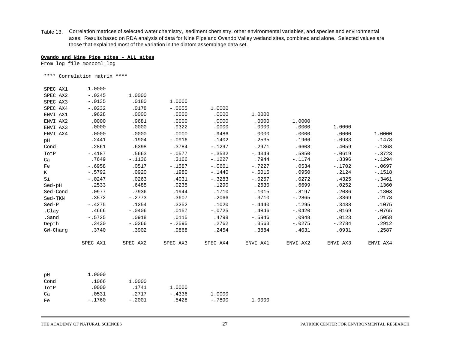Table 13. Correlation matrices of selected water chemistry, sediment chemistry, other environmental variables, and species and environmental axes. Results based on RDA analysis of data for Nine Pipe and Ovando Valley wetland sites, combined and alone. Selected values are those that explained most of the variation in the diatom assemblage data set.

#### **Ovando and Nine Pipe sites - ALL sites**

From log file moncoml.log

\*\*\*\* Correlation matrix \*\*\*\*

| SPEC AX1 | 1.0000   |          |          |          |          |          |          |          |
|----------|----------|----------|----------|----------|----------|----------|----------|----------|
| SPEC AX2 | $-.0245$ | 1.0000   |          |          |          |          |          |          |
| SPEC AX3 | $-.0135$ | .0180    | 1,0000   |          |          |          |          |          |
| SPEC AX4 | $-.0232$ | .0178    | $-.0055$ | 1,0000   |          |          |          |          |
| ENVI AX1 | .9628    | .0000    | .0000    | .0000    | 1.0000   |          |          |          |
| ENVI AX2 | .0000    | .9681    | .0000    | .0000    | .0000    | 1.0000   |          |          |
| ENVI AX3 | .0000    | .0000    | .9322    | .0000    | .0000    | .0000    | 1,0000   |          |
| ENVI AX4 | .0000    | .0000    | .0000    | .9486    | .0000    | .0000    | .0000    | 1,0000   |
| pH       | .2441    | .1904    | $-.0916$ | .1402    | .2535    | .1966    | $-.0983$ | .1478    |
| Cond     | .2861    | .6398    | .3784    | $-.1297$ | .2971    | .6608    | .4059    | $-.1368$ |
| TotP     | $-.4187$ | .5663    | $-.0577$ | $-.3532$ | $-.4349$ | .5850    | $-.0619$ | $-.3723$ |
| Ca       | .7649    | $-.1136$ | .3166    | $-.1227$ | .7944    | $-.1174$ | .3396    | $-.1294$ |
| Fe       | $-.6958$ | .0517    | $-.1587$ | $-.0661$ | $-.7227$ | .0534    | $-.1702$ | $-.0697$ |
| K        | $-.5792$ | .0920    | .1980    | $-.1440$ | $-.6016$ | .0950    | .2124    | $-.1518$ |
| Si       | $-.0247$ | .0263    | .4031    | $-.3283$ | $-.0257$ | .0272    | .4325    | $-.3461$ |
| Sed-pH   | .2533    | .6485    | .0235    | .1290    | .2630    | .6699    | .0252    | .1360    |
| Sed-Cond | .0977    | .7936    | .1944    | .1710    | .1015    | .8197    | .2086    | .1803    |
| Sed-TKN  | .3572    | $-.2773$ | .3607    | .2066    | .3710    | $-.2865$ | .3869    | .2178    |
| $Sed-P$  | $-.4275$ | .1254    | .3252    | .1020    | $-.4440$ | .1295    | .3488    | .1075    |
| .Clay    | .4666    | $-.0406$ | .0157    | $-.0725$ | .4846    | $-.0420$ | .0169    | $-.0765$ |
| .Sand    | $-.5725$ | .0918    | .0115    | .4798    | $-.5946$ | .0948    | .0123    | .5058    |
| Depth    | .3430    | $-.0266$ | $-.2595$ | .2762    | .3563    | $-.0275$ | $-.2784$ | .2912    |
| GW-Charg | .3740    | .3902    | .0868    | .2454    | .3884    | .4031    | .0931    | .2587    |
|          | SPEC AX1 | SPEC AX2 | SPEC AX3 | SPEC AX4 | ENVI AX1 | ENVI AX2 | ENVI AX3 | ENVI AX4 |

| рH   | 1,0000   |          |          |          |        |
|------|----------|----------|----------|----------|--------|
| Cond | .1066    | 1,0000   |          |          |        |
| TotP | .0000    | .1741    | 1,0000   |          |        |
| Ca   | .0531    | .2717    | $-.4336$ | 1,0000   |        |
| Fe   | $-.1760$ | $-.2001$ | .5428    | $-.7890$ | 1,0000 |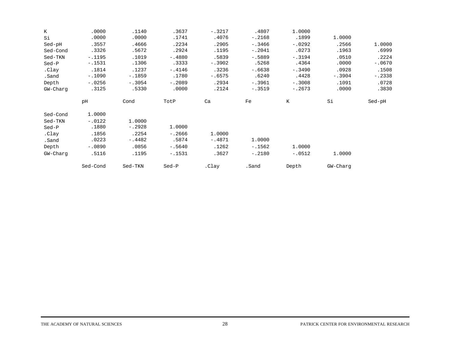| K        | .0000    | .1140    | .3637    | $-.3217$ | .4807    | 1,0000   |          |          |
|----------|----------|----------|----------|----------|----------|----------|----------|----------|
| Si       | .0000    | .0000    | .1741    | .4076    | $-.2168$ | .1899    | 1,0000   |          |
| Sed-pH   | .3557    | .4666    | .2234    | .2905    | $-.3466$ | $-.0292$ | .2566    | 1.0000   |
| Sed-Cond | .3326    | .5672    | .2924    | .1195    | $-.2041$ | .0273    | .1963    | .6999    |
| Sed-TKN  | $-.1195$ | .1019    | $-.4880$ | .5839    | $-.5889$ | $-.3194$ | .0510    | .2224    |
| Sed-P    | $-.1531$ | .1306    | .3333    | $-.3902$ | .5268    | .4364    | .0000    | $-.0670$ |
| .Clay    | .1814    | .1237    | $-.4146$ | .3236    | $-.6638$ | $-.3490$ | .0928    | .1508    |
| .Sand    | $-.1090$ | $-.1859$ | .1780    | $-.6575$ | .6240    | .4428    | $-.3904$ | $-.2338$ |
| Depth    | $-.0256$ | $-.3054$ | $-.2089$ | .2934    | $-.3961$ | $-.3008$ | .1091    | .0728    |
| GW-Charg | .3125    | .5330    | .0000    | .2124    | $-.3519$ | $-.2673$ | .0000    | .3830    |
|          | pH       | Cond     | TotP     | Ca       | Fe       | K        | Si       | Sed-pH   |
| Sed-Cond | 1.0000   |          |          |          |          |          |          |          |
| Sed-TKN  | $-.0122$ | 1,0000   |          |          |          |          |          |          |
| Sed-P    | .1880    | $-.2928$ | 1,0000   |          |          |          |          |          |
| .Clay    | .1856    | .2254    | $-.2666$ | 1,0000   |          |          |          |          |
| .Sand    | .0223    | $-.4482$ | .5874    | $-.4871$ | 1.0000   |          |          |          |
| Depth    | $-.0890$ | .0856    | $-.5640$ | .1262    | $-.1562$ | 1.0000   |          |          |
|          |          |          |          |          |          |          |          |          |
| GW-Charg | .5116    | .1195    | $-.1531$ | .3627    | $-.2180$ | $-.0512$ | 1,0000   |          |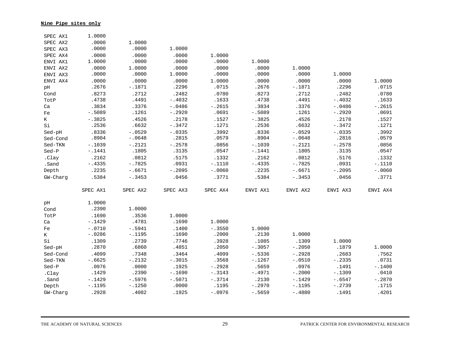**Nine Pipe sites only**

| SPEC AX1    | 1.0000   |          |          |          |           |          |           |          |
|-------------|----------|----------|----------|----------|-----------|----------|-----------|----------|
| SPEC AX2    | .0000    | 1.0000   |          |          |           |          |           |          |
| SPEC AX3    | .0000    | .0000    | 1.0000   |          |           |          |           |          |
| SPEC AX4    | .0000    | .0000    | .0000    | 1.0000   |           |          |           |          |
| ENVI AX1    | 1.0000   | .0000    | .0000    | .0000    | 1.0000    |          |           |          |
| ENVI AX2    | .0000    | 1.0000   | .0000    | .0000    | .0000     | 1.0000   |           |          |
| ENVI AX3    | .0000    | .0000    | 1.0000   | .0000    | .0000     | .0000    | 1.0000    |          |
| ENVI AX4    | .0000    | .0000    | .0000    | 1.0000   | .0000     | .0000    | .0000     | 1.0000   |
| pH          | .2676    | $-.1871$ | .2296    | .0715    | .2676     | $-.1871$ | .2296     | .0715    |
| Cond        | .8273    | .2712    | .2482    | .0780    | .8273     | .2712    | .2482     | .0780    |
| TotP        | .4738    | .4491    | $-.4032$ | .1633    | .4738     | .4491    | $-.4032$  | .1633    |
| Ca          | .3834    | .3376    | $-.0486$ | $-.2615$ | .3834     | .3376    | $-.0486$  | $-.2615$ |
| $_{\rm Fe}$ | $-.5089$ | .1261    | $-.2920$ | .0691    | $-.5089$  | .1261    | $-.2920$  | .0691    |
| $\rm K$     | $-.3825$ | .4526    | .2178    | .1527    | $-.3825$  | .4526    | .2178     | .1527    |
| Si          | .2536    | .6632    | $-.3472$ | .1271    | .2536     | .6632    | $-.3472$  | .1271    |
| Sed-pH      | .8336    | $-.0529$ | $-.0335$ | .3992    | .8336     | $-.0529$ | $-.0335$  | .3992    |
| Sed-Cond    | .8904    | $-.0648$ | .2815    | .0579    | .8904     | $-.0648$ | .2816     | .0579    |
| Sed-TKN     | $-.1039$ | $-.2121$ | $-.2578$ | .0856    | $-.1039$  | $-.2121$ | $-.2578$  | .0856    |
| $Sed-P$     | $-.1441$ | .1805    | .3135    | .0547    | $-.1441$  | .1805    | .3135     | .0547    |
| .Clay       | .2162    | .0812    | .5175    | .1332    | .2162     | .0812    | .5176     | .1332    |
| .Sand       | $-.4335$ | $-.7825$ | .0931    | $-.1110$ | $-.4335$  | $-.7825$ | .0931     | $-.1110$ |
| Depth       | .2235    | $-.6671$ | $-.2095$ | $-.0060$ | .2235     | $-.6671$ | $-.2095$  | $-.0060$ |
| GW-Charg    | .5384    | $-.3453$ | .0456    | .3771    | .5384     | $-.3453$ | .0456     | .3771    |
|             |          |          |          |          |           |          |           |          |
|             | SPEC AX1 | SPEC AX2 | SPEC AX3 | SPEC AX4 | ENVI AX1  | ENVI AX2 | ENVI AX3  | ENVI AX4 |
| рH          | 1.0000   |          |          |          |           |          |           |          |
| Cond        | .2390    | 1,0000   |          |          |           |          |           |          |
| TotP        | .1690    | .3536    | 1.0000   |          |           |          |           |          |
| Ca          | $-.1429$ | .4781    | .1690    | 1.0000   |           |          |           |          |
| Fe          | $-.0710$ | $-.5941$ | .1400    | $-.3550$ | 1,0000    |          |           |          |
| K           | $-.0286$ | $-.1195$ | .1690    | .2000    | .2130     | 1.0000   |           |          |
| Si          | .1309    | .2739    | .7746    | .3928    | .1085     | .1309    | 1.0000    |          |
| Sed-pH      | .2870    | .6860    | .4851    | .2050    | $-.3057$  | $-.2050$ | .1879     | 1.0000   |
| Sed-Cond    | .4099    | .7348    | .3464    | .4099    | $-.5336$  | $-.2928$ | .2683     | .7562    |
| Sed-TKN     | $-.6625$ | $-.2132$ | $-.3015$ | .3568    | $-.1267$  | $-.0510$ | $-.2335$  | .0731    |
| $Sed-P$     | .0976    | .0000    | .1925    | $-.2928$ | .5659     | .0976    | .1491     | $-.1400$ |
| .Clay       | .1429    | .2390    | $-.1690$ | $-.3143$ | $-.4971$  | $-.2000$ | $-.1309$  | .0410    |
| .Sand       | $-.1429$ | $-.5976$ | $-.5071$ | $-.3714$ | .2130     | $-.1429$ | $-0.6547$ | $-.2870$ |
| Depth       | $-.1195$ | $-.1250$ | .0000    | .1195    | $-.2970$  | $-.1195$ | $-.2739$  | .1715    |
| GW-Charg    | .2928    | .4082    | .1925    | $-.0976$ | $-1.5659$ | $-.4880$ | .1491     | .4201    |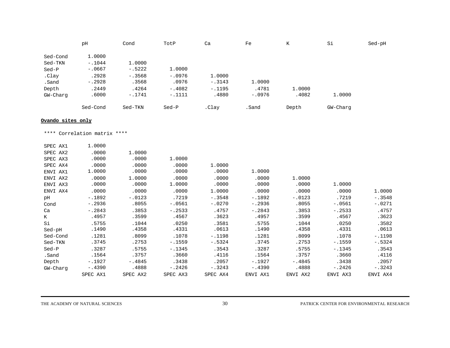|          | pH       | Cond     | TotP     | Ca       | Fe       | TZ.<br>n. | Si       | Sed-pH |
|----------|----------|----------|----------|----------|----------|-----------|----------|--------|
|          |          |          |          |          |          |           |          |        |
| Sed-Cond | 1,0000   |          |          |          |          |           |          |        |
| Sed-TKN  | $-.1044$ | 1,0000   |          |          |          |           |          |        |
| Sed-P    | $-.0667$ | $-.5222$ | 1,0000   |          |          |           |          |        |
| .Clay    | .2928    | $-.3568$ | $-.0976$ | 1,0000   |          |           |          |        |
| .Sand    | $-.2928$ | .3568    | .0976    | $-.3143$ | 1,0000   |           |          |        |
| Depth    | .2449    | .4264    | $-.4082$ | $-.1195$ | .4781    | 1,0000    |          |        |
| GW-Charg | .6000    | $-.1741$ | $-.1111$ | .4880    | $-.0976$ | .4082     | 1,0000   |        |
|          | Sed-Cond | Sed-TKN  | Sed-P    | .Clay    | .Sand    | Depth     | GW-Charg |        |

#### **Ovando sites only**

\*\*\*\* Correlation matrix \*\*\*\*

| SPEC AX1 | 1.0000   |          |          |          |          |          |          |          |
|----------|----------|----------|----------|----------|----------|----------|----------|----------|
| SPEC AX2 | .0000    | 1,0000   |          |          |          |          |          |          |
| SPEC AX3 | .0000    | .0000    | 1.0000   |          |          |          |          |          |
| SPEC AX4 | .0000    | .0000    | .0000    | 1.0000   |          |          |          |          |
| ENVI AX1 | 1.0000   | .0000    | .0000    | .0000    | 1,0000   |          |          |          |
| ENVI AX2 | .0000    | 1,0000   | .0000    | .0000    | .0000    | 1.0000   |          |          |
| ENVI AX3 | .0000    | .0000    | 1.0000   | .0000    | .0000    | .0000    | 1.0000   |          |
| ENVI AX4 | .0000    | .0000    | .0000    | 1.0000   | .0000    | .0000    | .0000    | 1.0000   |
| pH       | $-.1892$ | $-.0123$ | .7219    | $-.3548$ | $-.1892$ | $-.0123$ | .7219    | $-.3548$ |
| Cond     | $-.2936$ | .8055    | $-.0561$ | $-.0270$ | $-.2936$ | .8055    | $-.0561$ | $-.0271$ |
| Ca       | $-.2843$ | .3853    | $-.2533$ | .4757    | $-.2843$ | .3853    | $-.2533$ | .4757    |
| K        | .4957    | .3599    | .4567    | .3623    | .4957    | .3599    | .4567    | .3623    |
| Si       | .5755    | .1044    | .0250    | .3581    | .5755    | .1044    | .0250    | .3582    |
| Sed-pH   | .1490    | .4358    | .4331    | .0613    | .1490    | .4358    | .4331    | .0613    |
| Sed-Cond | .1281    | .8099    | .1078    | $-.1198$ | .1281    | .8099    | .1078    | $-.1198$ |
| Sed-TKN  | .3745    | .2753    | $-.1559$ | $-.5324$ | .3745    | .2753    | $-.1559$ | $-.5324$ |
| Sed-P    | .3287    | .5755    | $-.1345$ | .3543    | .3287    | .5755    | $-.1345$ | .3543    |
| .Sand    | .1564    | .3757    | .3660    | .4116    | .1564    | .3757    | .3660    | .4116    |
| Depth    | $-.1927$ | $-.4845$ | .3438    | .2057    | $-.1927$ | $-.4845$ | .3438    | .2057    |
| GW-Charg | $-.4390$ | .4888    | $-.2426$ | $-.3243$ | $-.4390$ | .4888    | $-.2426$ | $-.3243$ |
|          | SPEC AX1 | SPEC AX2 | SPEC AX3 | SPEC AX4 | ENVI AX1 | ENVI AX2 | ENVI AX3 | ENVI AX4 |

THE ACADEMY OF NATURAL SCIENCES **30 20 PATRICK CENTER FOR ENVIRONMENTAL RESEARCH**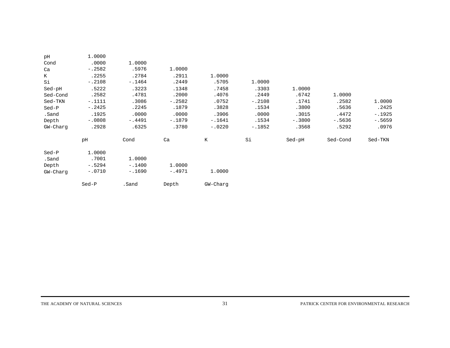| pH<br>Cond<br>Ca<br>К<br>Si         | 1.0000<br>.0000<br>$-.2582$<br>.2255<br>$-.2108$ | 1.0000<br>.5976<br>.2784<br>$-.1464$ | 1,0000<br>.2911<br>.2449 | 1,0000<br>.5705   | 1,0000            |                   |                   |                      |
|-------------------------------------|--------------------------------------------------|--------------------------------------|--------------------------|-------------------|-------------------|-------------------|-------------------|----------------------|
| Sed-pH                              | .5222<br>.2582                                   | .3223<br>.4781                       | .1348<br>.2000           | .7458<br>.4076    | .3303<br>.2449    | 1.0000<br>.6742   | 1.0000            |                      |
| Sed-Cond<br>Sed-TKN<br>$Sed-P$      | $-.1111$<br>$-.2425$                             | .3086<br>.2245                       | $-.2582$<br>.1879        | .0752<br>.3828    | $-.2108$<br>.1534 | .1741<br>.3800    | .2582<br>.5636    | 1,0000<br>.2425      |
| .Sand<br>Depth                      | .1925<br>$-.0808$                                | .0000<br>$-.4491$                    | .0000<br>$-.1879$        | .3906<br>$-.1641$ | .0000<br>.1534    | .3015<br>$-.3800$ | .4472<br>$-.5636$ | $-.1925$<br>$-.5659$ |
| GW-Charg                            | .2928                                            | .6325                                | .3780                    | $-.0220$          | $-.1852$          | .3568             | .5292             | .0976                |
|                                     | pH                                               | Cond                                 | Ca                       | K                 | Si                | Sed-pH            | Sed-Cond          | Sed-TKN              |
| Sed-P<br>.Sand<br>Depth<br>GW-Charg | 1,0000<br>.7001<br>$-.5294$<br>$-.0710$          | 1.0000<br>$-.1400$<br>$-.1690$       | 1.0000<br>$-.4971$       | 1,0000            |                   |                   |                   |                      |
|                                     | Sed-P                                            | .Sand                                | Depth                    | GW-Charg          |                   |                   |                   |                      |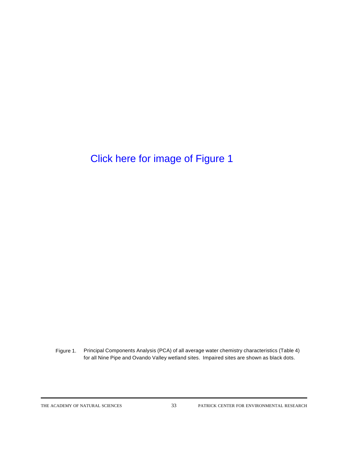Figure 1. Principal Components Analysis (PCA) of all average water chemistry characteristics (Table 4) for all Nine Pipe and Ovando Valley wetland sites. Impaired sites are shown as black dots.

THE ACADEMY OF NATURAL SCIENCES 33 PATRICK CENTER FOR ENVIRONMENTAL RESEARCH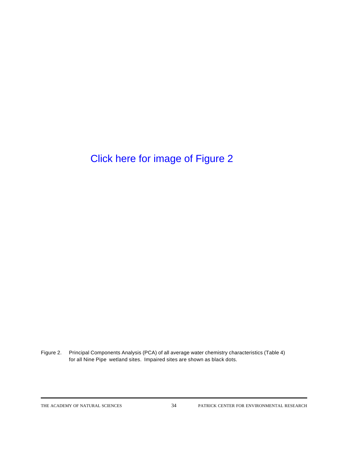Figure 2. Principal Components Analysis (PCA) of all average water chemistry characteristics (Table 4) for all Nine Pipe wetland sites. Impaired sites are shown as black dots.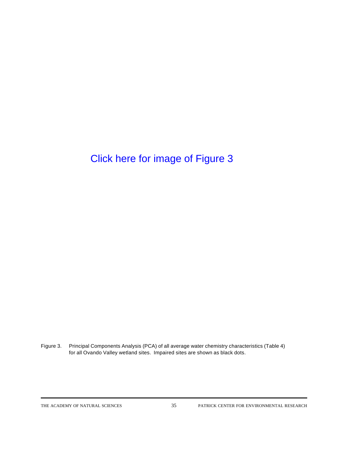Figure 3. Principal Components Analysis (PCA) of all average water chemistry characteristics (Table 4) for all Ovando Valley wetland sites. Impaired sites are shown as black dots.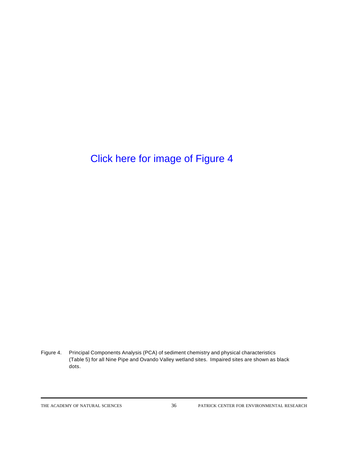Figure 4. Principal Components Analysis (PCA) of sediment chemistry and physical characteristics (Table 5) for all Nine Pipe and Ovando Valley wetland sites. Impaired sites are shown as black dots.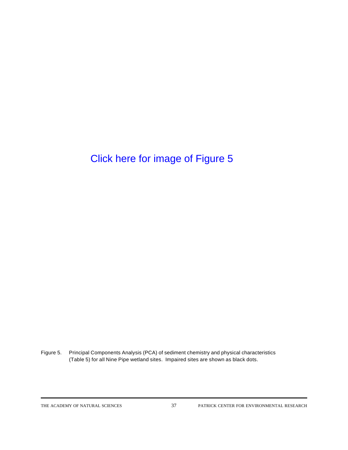Figure 5. Principal Components Analysis (PCA) of sediment chemistry and physical characteristics (Table 5) for all Nine Pipe wetland sites. Impaired sites are shown as black dots.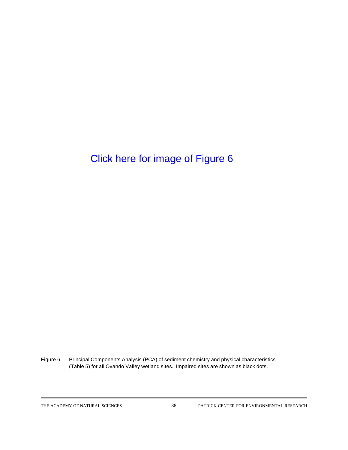Figure 6. Principal Components Analysis (PCA) of sediment chemistry and physical characteristics (Table 5) for all Ovando Valley wetland sites. Impaired sites are shown as black dots.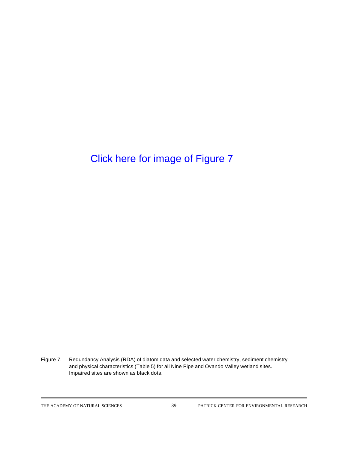Figure 7. Redundancy Analysis (RDA) of diatom data and selected water chemistry, sediment chemistry and physical characteristics (Table 5) for all Nine Pipe and Ovando Valley wetland sites. Impaired sites are shown as black dots.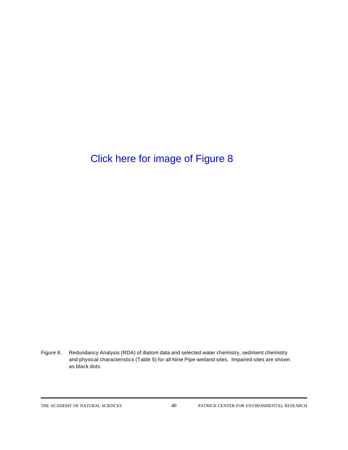Figure 8. Redundancy Analysis (RDA) of diatom data and selected water chemistry, sediment chemistry and physical characteristics (Table 5) for all Nine Pipe wetland sites. Impaired sites are shown as black dots.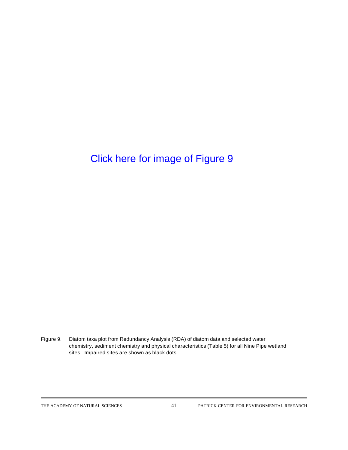Figure 9. Diatom taxa plot from Redundancy Analysis (RDA) of diatom data and selected water chemistry, sediment chemistry and physical characteristics (Table 5) for all Nine Pipe wetland sites. Impaired sites are shown as black dots.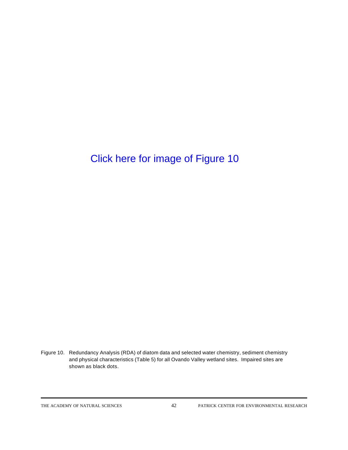Figure 10. Redundancy Analysis (RDA) of diatom data and selected water chemistry, sediment chemistry and physical characteristics (Table 5) for all Ovando Valley wetland sites. Impaired sites are shown as black dots.